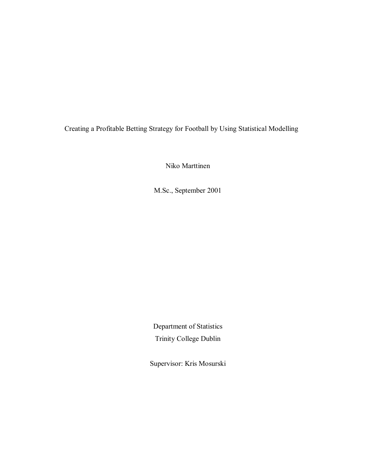Creating a Profitable Betting Strategy for Football by Using Statistical Modelling

Niko Marttinen

M.Sc., September 2001

Department of Statistics Trinity College Dublin

Supervisor: Kris Mosurski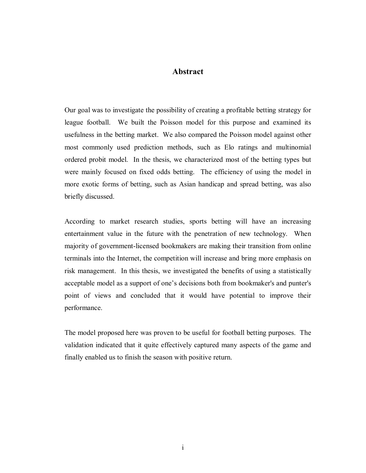#### **Abstract**

Our goal was to investigate the possibility of creating a profitable betting strategy for league football. We built the Poisson model for this purpose and examined its usefulness in the betting market. We also compared the Poisson model against other most commonly used prediction methods, such as Elo ratings and multinomial ordered probit model. In the thesis, we characterized most of the betting types but were mainly focused on fixed odds betting. The efficiency of using the model in more exotic forms of betting, such as Asian handicap and spread betting, was also briefly discussed.

According to market research studies, sports betting will have an increasing entertainment value in the future with the penetration of new technology. When majority of government-licensed bookmakers are making their transition from online terminals into the Internet, the competition will increase and bring more emphasis on risk management. In this thesis, we investigated the benefits of using a statistically acceptable model as a support of one's decisions both from bookmaker's and punter's point of views and concluded that it would have potential to improve their performance.

The model proposed here was proven to be useful for football betting purposes. The validation indicated that it quite effectively captured many aspects of the game and finally enabled us to finish the season with positive return.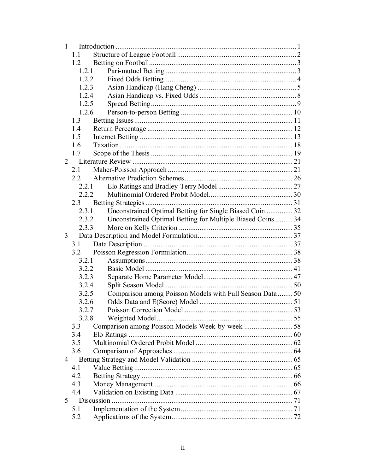| $\mathbf{1}$ |                                                                     |  |  |  |  |  |
|--------------|---------------------------------------------------------------------|--|--|--|--|--|
|              | 1.1                                                                 |  |  |  |  |  |
|              | 1.2                                                                 |  |  |  |  |  |
|              | 1.2.1                                                               |  |  |  |  |  |
|              | 1.2.2                                                               |  |  |  |  |  |
|              | 1.2.3                                                               |  |  |  |  |  |
|              | 1.2.4                                                               |  |  |  |  |  |
|              | 1.2.5                                                               |  |  |  |  |  |
|              | 1.2.6                                                               |  |  |  |  |  |
|              | 1.3                                                                 |  |  |  |  |  |
|              | 1.4                                                                 |  |  |  |  |  |
|              | 1.5                                                                 |  |  |  |  |  |
|              | 1.6                                                                 |  |  |  |  |  |
|              | 1.7                                                                 |  |  |  |  |  |
|              | $\overline{2}$                                                      |  |  |  |  |  |
|              | 2.1                                                                 |  |  |  |  |  |
|              | 2.2                                                                 |  |  |  |  |  |
|              | 2.2.1                                                               |  |  |  |  |  |
|              | 2.2.2                                                               |  |  |  |  |  |
|              | 2.3                                                                 |  |  |  |  |  |
|              | Unconstrained Optimal Betting for Single Biased Coin  32<br>2.3.1   |  |  |  |  |  |
|              | Unconstrained Optimal Betting for Multiple Biased Coins 34<br>2.3.2 |  |  |  |  |  |
|              | 2.3.3                                                               |  |  |  |  |  |
| 3            |                                                                     |  |  |  |  |  |
|              | 3.1                                                                 |  |  |  |  |  |
|              | 3.2                                                                 |  |  |  |  |  |
|              | 3.2.1                                                               |  |  |  |  |  |
|              | 3.2.2                                                               |  |  |  |  |  |
|              | 3.2.3                                                               |  |  |  |  |  |
|              | 3.2.4                                                               |  |  |  |  |  |
|              | Comparison among Poisson Models with Full Season Data  50<br>3.2.5  |  |  |  |  |  |
|              | 3.2.6                                                               |  |  |  |  |  |
|              | 3.2.7                                                               |  |  |  |  |  |
|              | 3.2.8                                                               |  |  |  |  |  |
|              | 3.3                                                                 |  |  |  |  |  |
|              | 3.4                                                                 |  |  |  |  |  |
|              | 3.5                                                                 |  |  |  |  |  |
|              | 3.6                                                                 |  |  |  |  |  |
| 4            |                                                                     |  |  |  |  |  |
|              | 4.1                                                                 |  |  |  |  |  |
|              | 4.2                                                                 |  |  |  |  |  |
|              | 4.3                                                                 |  |  |  |  |  |
|              | 4.4                                                                 |  |  |  |  |  |
|              | 5 <sup>5</sup>                                                      |  |  |  |  |  |
|              | 5.1                                                                 |  |  |  |  |  |
|              | 5.2                                                                 |  |  |  |  |  |
|              |                                                                     |  |  |  |  |  |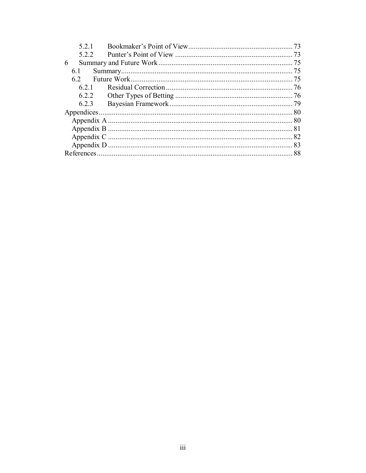| 521   |  | 73  |  |  |  |
|-------|--|-----|--|--|--|
| 5.2.2 |  | -73 |  |  |  |
| 6     |  | 75  |  |  |  |
| 6.1   |  | 75  |  |  |  |
| 62    |  | -75 |  |  |  |
| 621   |  |     |  |  |  |
| 6.2.2 |  |     |  |  |  |
| 6.2.3 |  | -79 |  |  |  |
|       |  |     |  |  |  |
|       |  |     |  |  |  |
|       |  |     |  |  |  |
|       |  |     |  |  |  |
|       |  |     |  |  |  |
| 88    |  |     |  |  |  |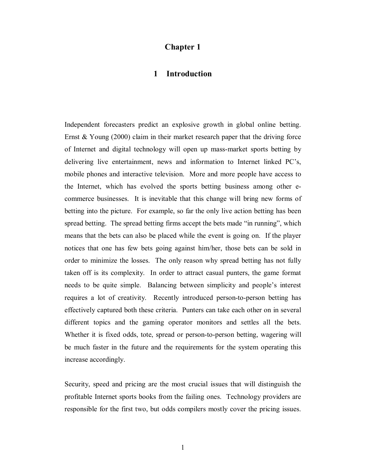## **Chapter 1**

#### **1 Introduction**

Independent forecasters predict an explosive growth in global online betting. Ernst & Young (2000) claim in their market research paper that the driving force of Internet and digital technology will open up mass-market sports betting by delivering live entertainment, news and information to Internet linked PC's, mobile phones and interactive television. More and more people have access to the Internet, which has evolved the sports betting business among other ecommerce businesses. It is inevitable that this change will bring new forms of betting into the picture. For example, so far the only live action betting has been spread betting. The spread betting firms accept the bets made "in running", which means that the bets can also be placed while the event is going on. If the player notices that one has few bets going against him/her, those bets can be sold in order to minimize the losses. The only reason why spread betting has not fully taken off is its complexity. In order to attract casual punters, the game format needs to be quite simple. Balancing between simplicity and people's interest requires a lot of creativity. Recently introduced person-to-person betting has effectively captured both these criteria. Punters can take each other on in several different topics and the gaming operator monitors and settles all the bets. Whether it is fixed odds, tote, spread or person-to-person betting, wagering will be much faster in the future and the requirements for the system operating this increase accordingly.

Security, speed and pricing are the most crucial issues that will distinguish the profitable Internet sports books from the failing ones. Technology providers are responsible for the first two, but odds compilers mostly cover the pricing issues.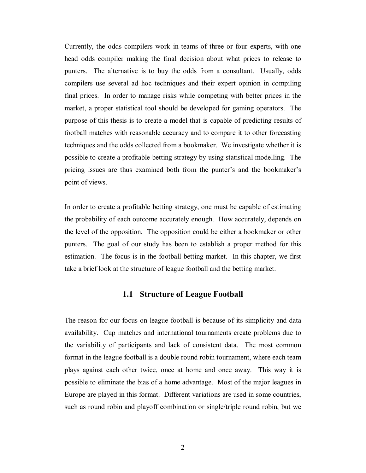Currently, the odds compilers work in teams of three or four experts, with one head odds compiler making the final decision about what prices to release to punters. The alternative is to buy the odds from a consultant. Usually, odds compilers use several ad hoc techniques and their expert opinion in compiling final prices. In order to manage risks while competing with better prices in the market, a proper statistical tool should be developed for gaming operators. The purpose of this thesis is to create a model that is capable of predicting results of football matches with reasonable accuracy and to compare it to other forecasting techniques and the odds collected from a bookmaker. We investigate whether it is possible to create a profitable betting strategy by using statistical modelling. The pricing issues are thus examined both from the punter's and the bookmaker's point of views.

In order to create a profitable betting strategy, one must be capable of estimating the probability of each outcome accurately enough. How accurately, depends on the level of the opposition. The opposition could be either a bookmaker or other punters. The goal of our study has been to establish a proper method for this estimation. The focus is in the football betting market. In this chapter, we first take a brief look at the structure of league football and the betting market.

## **1.1 Structure of League Football**

The reason for our focus on league football is because of its simplicity and data availability. Cup matches and international tournaments create problems due to the variability of participants and lack of consistent data. The most common format in the league football is a double round robin tournament, where each team plays against each other twice, once at home and once away. This way it is possible to eliminate the bias of a home advantage. Most of the major leagues in Europe are played in this format. Different variations are used in some countries, such as round robin and playoff combination or single/triple round robin, but we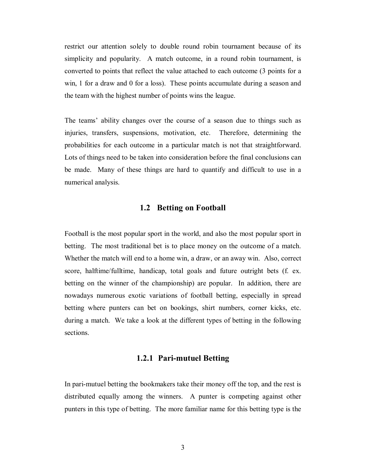restrict our attention solely to double round robin tournament because of its simplicity and popularity. A match outcome, in a round robin tournament, is converted to points that reflect the value attached to each outcome (3 points for a win, 1 for a draw and 0 for a loss). These points accumulate during a season and the team with the highest number of points wins the league.

The teams' ability changes over the course of a season due to things such as injuries, transfers, suspensions, motivation, etc. Therefore, determining the probabilities for each outcome in a particular match is not that straightforward. Lots of things need to be taken into consideration before the final conclusions can be made. Many of these things are hard to quantify and difficult to use in a numerical analysis.

#### **1.2 Betting on Football**

Football is the most popular sport in the world, and also the most popular sport in betting. The most traditional bet is to place money on the outcome of a match. Whether the match will end to a home win, a draw, or an away win. Also, correct score, halftime/fulltime, handicap, total goals and future outright bets (f. ex. betting on the winner of the championship) are popular. In addition, there are nowadays numerous exotic variations of football betting, especially in spread betting where punters can bet on bookings, shirt numbers, corner kicks, etc. during a match. We take a look at the different types of betting in the following sections.

### **1.2.1 Pari-mutuel Betting**

In pari-mutuel betting the bookmakers take their money off the top, and the rest is distributed equally among the winners. A punter is competing against other punters in this type of betting. The more familiar name for this betting type is the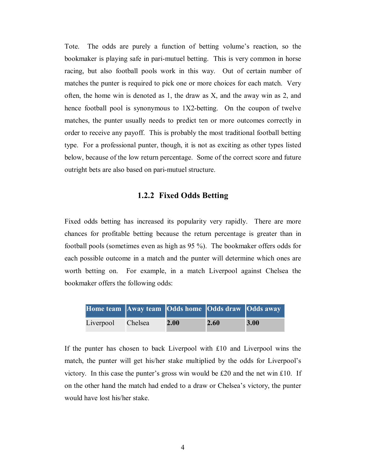Tote. The odds are purely a function of betting volume's reaction, so the bookmaker is playing safe in pari-mutuel betting. This is very common in horse racing, but also football pools work in this way. Out of certain number of matches the punter is required to pick one or more choices for each match. Very often, the home win is denoted as 1, the draw as X, and the away win as 2, and hence football pool is synonymous to 1X2-betting. On the coupon of twelve matches, the punter usually needs to predict ten or more outcomes correctly in order to receive any payoff. This is probably the most traditional football betting type. For a professional punter, though, it is not as exciting as other types listed below, because of the low return percentage. Some of the correct score and future outright bets are also based on pari-mutuel structure.

## **1.2.2 Fixed Odds Betting**

Fixed odds betting has increased its popularity very rapidly. There are more chances for profitable betting because the return percentage is greater than in football pools (sometimes even as high as 95 %). The bookmaker offers odds for each possible outcome in a match and the punter will determine which ones are worth betting on. For example, in a match Liverpool against Chelsea the bookmaker offers the following odds:

| Home team Away team Odds home Odds draw Odds away |      |      |      |
|---------------------------------------------------|------|------|------|
| Liverpool Chelsea                                 | 2.00 | 2.60 | 3.00 |

If the punter has chosen to back Liverpool with £10 and Liverpool wins the match, the punter will get his/her stake multiplied by the odds for Liverpool's victory. In this case the punter's gross win would be  $£20$  and the net win £10. If on the other hand the match had ended to a draw or Chelsea's victory, the punter would have lost his/her stake.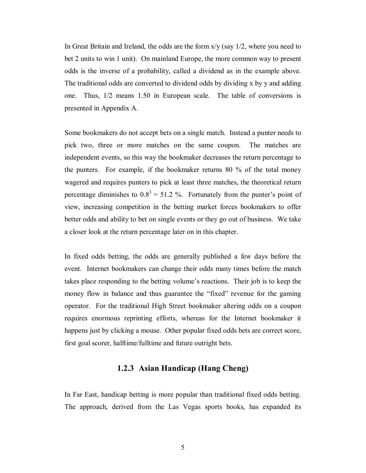In Great Britain and Ireland, the odds are the form  $x/y$  (say  $1/2$ , where you need to bet 2 units to win 1 unit). On mainland Europe, the more common way to present odds is the inverse of a probability, called a dividend as in the example above. The traditional odds are converted to dividend odds by dividing x by y and adding one. Thus, 1/2 means 1.50 in European scale. The table of conversions is presented in Appendix A.

Some bookmakers do not accept bets on a single match. Instead a punter needs to pick two, three or more matches on the same coupon. The matches are independent events, so this way the bookmaker decreases the return percentage to the punters. For example, if the bookmaker returns 80 % of the total money wagered and requires punters to pick at least three matches, the theoretical return percentage diminishes to  $0.8^3 = 51.2$  %. Fortunately from the punter's point of view, increasing competition in the betting market forces bookmakers to offer better odds and ability to bet on single events or they go out of business. We take a closer look at the return percentage later on in this chapter.

In fixed odds betting, the odds are generally published a few days before the event. Internet bookmakers can change their odds many times before the match takes place responding to the betting volume's reactions. Their job is to keep the money flow in balance and thus guarantee the "fixed" revenue for the gaming operator. For the traditional High Street bookmaker altering odds on a coupon requires enormous reprinting efforts, whereas for the Internet bookmaker it happens just by clicking a mouse. Other popular fixed odds bets are correct score, first goal scorer, halftime/fulltime and future outright bets.

## **1.2.3 Asian Handicap (Hang Cheng)**

In Far East, handicap betting is more popular than traditional fixed odds betting. The approach, derived from the Las Vegas sports books, has expanded its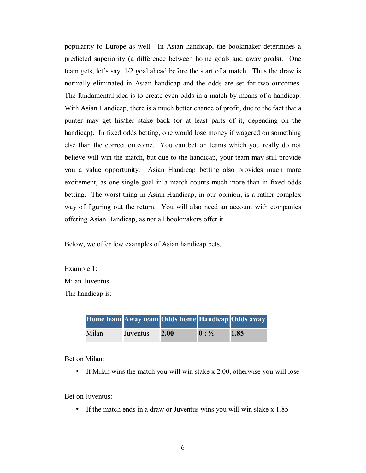popularity to Europe as well. In Asian handicap, the bookmaker determines a predicted superiority (a difference between home goals and away goals). One team gets, let's say, 1/2 goal ahead before the start of a match. Thus the draw is normally eliminated in Asian handicap and the odds are set for two outcomes. The fundamental idea is to create even odds in a match by means of a handicap. With Asian Handicap, there is a much better chance of profit, due to the fact that a punter may get his/her stake back (or at least parts of it, depending on the handicap). In fixed odds betting, one would lose money if wagered on something else than the correct outcome. You can bet on teams which you really do not believe will win the match, but due to the handicap, your team may still provide you a value opportunity. Asian Handicap betting also provides much more excitement, as one single goal in a match counts much more than in fixed odds betting. The worst thing in Asian Handicap, in our opinion, is a rather complex way of figuring out the return. You will also need an account with companies offering Asian Handicap, as not all bookmakers offer it.

Below, we offer few examples of Asian handicap bets.

Example 1: Milan-Juventus The handicap is:

| Home team Away team Odds home Handicap Odds away |          |      |                  |      |
|--------------------------------------------------|----------|------|------------------|------|
| Milan                                            | Juventus | 2.00 | $0: \frac{1}{2}$ | 1.85 |

Bet on Milan:

• If Milan wins the match you will win stake x 2.00, otherwise you will lose

Bet on Juventus:

• If the match ends in a draw or Juventus wins you will win stake x 1.85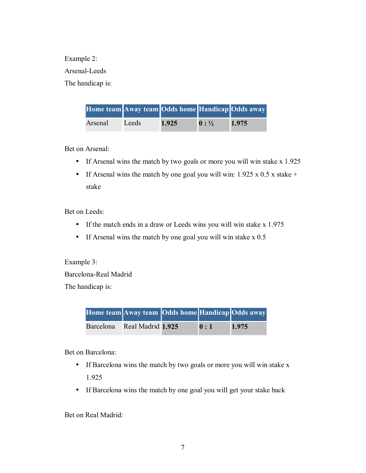Example 2: Arsenal-Leeds The handicap is:

| Home team Away team Odds home Handicap Odds away |       |       |                  |       |
|--------------------------------------------------|-------|-------|------------------|-------|
| Arsenal                                          | Leeds | 1.925 | $0: \frac{1}{2}$ | 1.975 |

Bet on Arsenal:

- If Arsenal wins the match by two goals or more you will win stake x 1.925
- If Arsenal wins the match by one goal you will win:  $1.925 \times 0.5 \times$  stake + stake

Bet on Leeds:

- If the match ends in a draw or Leeds wins you will win stake x 1.975
- If Arsenal wins the match by one goal you will win stake x 0.5

Example 3: Barcelona-Real Madrid

The handicap is:

|           | Home team Away team Odds home Handicap Odds away |     |       |
|-----------|--------------------------------------------------|-----|-------|
| Barcelona | Real Madrid 1.925                                | 0:1 | 1.975 |

Bet on Barcelona:

- If Barcelona wins the match by two goals or more you will win stake x 1.925
- If Barcelona wins the match by one goal you will get your stake back

Bet on Real Madrid: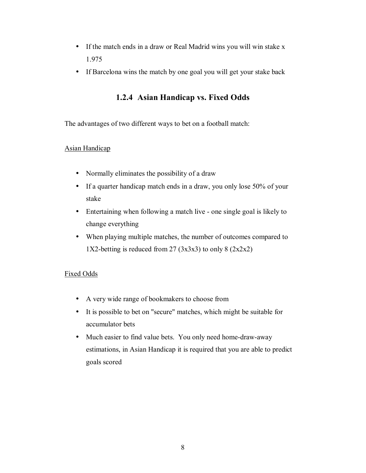- If the match ends in a draw or Real Madrid wins you will win stake x 1.975
- If Barcelona wins the match by one goal you will get your stake back

# **1.2.4 Asian Handicap vs. Fixed Odds**

The advantages of two different ways to bet on a football match:

#### Asian Handicap

- Normally eliminates the possibility of a draw
- If a quarter handicap match ends in a draw, you only lose 50% of your stake
- Entertaining when following a match live one single goal is likely to change everything
- When playing multiple matches, the number of outcomes compared to 1X2-betting is reduced from 27  $(3x3x3)$  to only 8  $(2x2x2)$

### Fixed Odds

- A very wide range of bookmakers to choose from
- It is possible to bet on "secure" matches, which might be suitable for accumulator bets
- Much easier to find value bets. You only need home-draw-away estimations, in Asian Handicap it is required that you are able to predict goals scored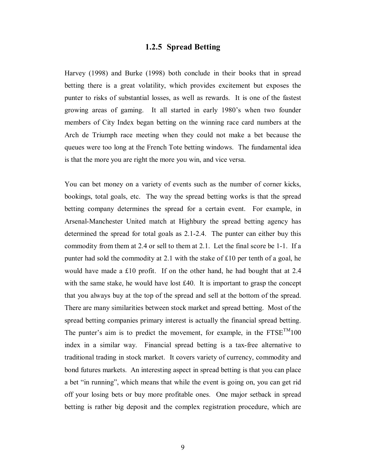## **1.2.5 Spread Betting**

Harvey (1998) and Burke (1998) both conclude in their books that in spread betting there is a great volatility, which provides excitement but exposes the punter to risks of substantial losses, as well as rewards. It is one of the fastest growing areas of gaming. It all started in early 1980's when two founder members of City Index began betting on the winning race card numbers at the Arch de Triumph race meeting when they could not make a bet because the queues were too long at the French Tote betting windows. The fundamental idea is that the more you are right the more you win, and vice versa.

You can bet money on a variety of events such as the number of corner kicks, bookings, total goals, etc. The way the spread betting works is that the spread betting company determines the spread for a certain event. For example, in Arsenal-Manchester United match at Highbury the spread betting agency has determined the spread for total goals as 2.1-2.4. The punter can either buy this commodity from them at 2.4 or sell to them at 2.1. Let the final score be 1-1. If a punter had sold the commodity at 2.1 with the stake of £10 per tenth of a goal, he would have made a £10 profit. If on the other hand, he had bought that at 2.4 with the same stake, he would have lost £40. It is important to grasp the concept that you always buy at the top of the spread and sell at the bottom of the spread. There are many similarities between stock market and spread betting. Most of the spread betting companies primary interest is actually the financial spread betting. The punter's aim is to predict the movement, for example, in the  $FTSE^{TM}100$ index in a similar way. Financial spread betting is a tax-free alternative to traditional trading in stock market. It covers variety of currency, commodity and bond futures markets. An interesting aspect in spread betting is that you can place a bet "in running", which means that while the event is going on, you can get rid off your losing bets or buy more profitable ones. One major setback in spread betting is rather big deposit and the complex registration procedure, which are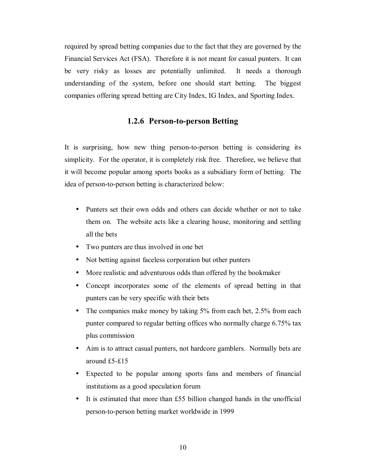required by spread betting companies due to the fact that they are governed by the Financial Services Act (FSA). Therefore it is not meant for casual punters. It can be very risky as losses are potentially unlimited. It needs a thorough understanding of the system, before one should start betting. The biggest companies offering spread betting are City Index, IG Index, and Sporting Index.

## **1.2.6 Person-to-person Betting**

It is surprising, how new thing person-to-person betting is considering its simplicity. For the operator, it is completely risk free. Therefore, we believe that it will become popular among sports books as a subsidiary form of betting. The idea of person-to-person betting is characterized below:

- Punters set their own odds and others can decide whether or not to take them on. The website acts like a clearing house, monitoring and settling all the bets
- Two punters are thus involved in one bet
- Not betting against faceless corporation but other punters
- More realistic and adventurous odds than offered by the bookmaker
- Concept incorporates some of the elements of spread betting in that punters can be very specific with their bets
- The companies make money by taking 5% from each bet, 2.5% from each punter compared to regular betting offices who normally charge 6.75% tax plus commission
- Aim is to attract casual punters, not hardcore gamblers. Normally bets are around £5-£15
- Expected to be popular among sports fans and members of financial institutions as a good speculation forum
- It is estimated that more than £55 billion changed hands in the unofficial person-to-person betting market worldwide in 1999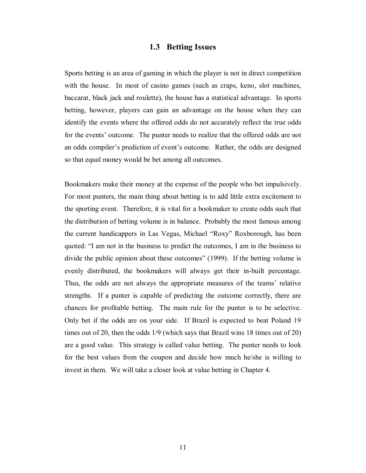#### **1.3 Betting Issues**

Sports betting is an area of gaming in which the player is not in direct competition with the house. In most of casino games (such as craps, keno, slot machines, baccarat, black jack and roulette), the house has a statistical advantage. In sports betting, however, players can gain an advantage on the house when they can identify the events where the offered odds do not accurately reflect the true odds for the events' outcome. The punter needs to realize that the offered odds are not an odds compiler's prediction of event's outcome. Rather, the odds are designed so that equal money would be bet among all outcomes.

Bookmakers make their money at the expense of the people who bet impulsively. For most punters, the main thing about betting is to add little extra excitement to the sporting event. Therefore, it is vital for a bookmaker to create odds such that the distribution of betting volume is in balance. Probably the most famous among the current handicappers in Las Vegas, Michael "Roxy" Roxborough, has been quoted: "I am not in the business to predict the outcomes, I am in the business to divide the public opinion about these outcomes" (1999). If the betting volume is evenly distributed, the bookmakers will always get their in-built percentage. Thus, the odds are not always the appropriate measures of the teams' relative strengths. If a punter is capable of predicting the outcome correctly, there are chances for profitable betting. The main rule for the punter is to be selective. Only bet if the odds are on your side. If Brazil is expected to beat Poland 19 times out of 20, then the odds 1/9 (which says that Brazil wins 18 times out of 20) are a good value. This strategy is called value betting. The punter needs to look for the best values from the coupon and decide how much he/she is willing to invest in them. We will take a closer look at value betting in Chapter 4.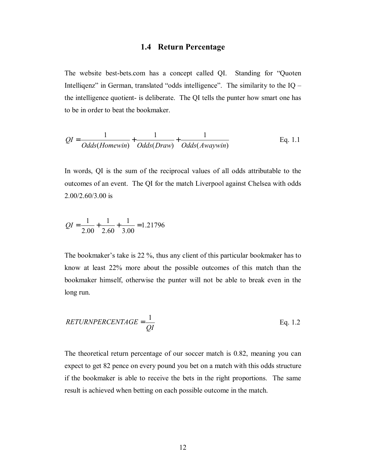### **1.4 Return Percentage**

The website best-bets.com has a concept called QI. Standing for "Quoten Intelligenz" in German, translated "odds intelligence". The similarity to the IQ – the intelligence quotient- is deliberate. The QI tells the punter how smart one has to be in order to beat the bookmaker.

$$
QI = \frac{1}{Odds(Homewin)} + \frac{1}{Odds(Draw)} + \frac{1}{Odds(Awaywin)}
$$
 Eq. 1.1

In words, QI is the sum of the reciprocal values of all odds attributable to the outcomes of an event. The QI for the match Liverpool against Chelsea with odds 2.00/2.60/3.00 is

$$
QI = \frac{1}{2.00} + \frac{1}{2.60} + \frac{1}{3.00} = 1.21796
$$

The bookmaker's take is 22 %, thus any client of this particular bookmaker has to know at least 22% more about the possible outcomes of this match than the bookmaker himself, otherwise the punter will not be able to break even in the long run.

$$
RETURNPERCENTAGE = \frac{1}{QI}
$$
 Eq. 1.2

The theoretical return percentage of our soccer match is 0.82, meaning you can expect to get 82 pence on every pound you bet on a match with this odds structure if the bookmaker is able to receive the bets in the right proportions. The same result is achieved when betting on each possible outcome in the match.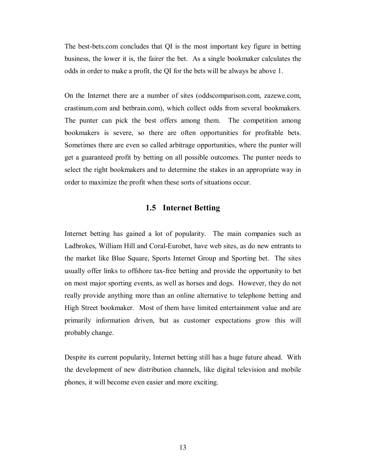The best-bets.com concludes that QI is the most important key figure in betting business, the lower it is, the fairer the bet. As a single bookmaker calculates the odds in order to make a profit, the QI for the bets will be always be above 1.

On the Internet there are a number of sites (oddscomparison.com, zazewe.com, crastinum.com and betbrain.com), which collect odds from several bookmakers. The punter can pick the best offers among them. The competition among bookmakers is severe, so there are often opportunities for profitable bets. Sometimes there are even so called arbitrage opportunities, where the punter will get a guaranteed profit by betting on all possible outcomes. The punter needs to select the right bookmakers and to determine the stakes in an appropriate way in order to maximize the profit when these sorts of situations occur.

## **1.5 Internet Betting**

Internet betting has gained a lot of popularity. The main companies such as Ladbrokes, William Hill and Coral-Eurobet, have web sites, as do new entrants to the market like Blue Square, Sports Internet Group and Sporting bet. The sites usually offer links to offshore tax-free betting and provide the opportunity to bet on most major sporting events, as well as horses and dogs. However, they do not really provide anything more than an online alternative to telephone betting and High Street bookmaker. Most of them have limited entertainment value and are primarily information driven, but as customer expectations grow this will probably change.

Despite its current popularity, Internet betting still has a huge future ahead. With the development of new distribution channels, like digital television and mobile phones, it will become even easier and more exciting.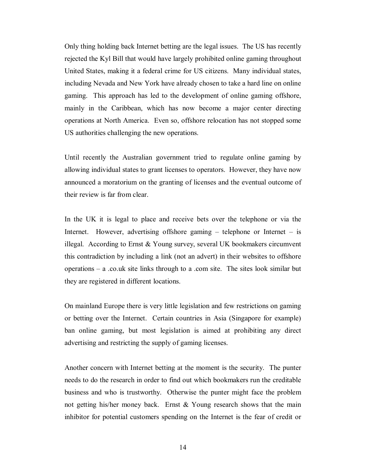Only thing holding back Internet betting are the legal issues. The US has recently rejected the Kyl Bill that would have largely prohibited online gaming throughout United States, making it a federal crime for US citizens. Many individual states, including Nevada and New York have already chosen to take a hard line on online gaming. This approach has led to the development of online gaming offshore, mainly in the Caribbean, which has now become a major center directing operations at North America. Even so, offshore relocation has not stopped some US authorities challenging the new operations.

Until recently the Australian government tried to regulate online gaming by allowing individual states to grant licenses to operators. However, they have now announced a moratorium on the granting of licenses and the eventual outcome of their review is far from clear.

In the UK it is legal to place and receive bets over the telephone or via the Internet. However, advertising offshore gaming  $-$  telephone or Internet  $-$  is illegal. According to Ernst  $& Young survey$ , several UK bookmakers circumvent this contradiction by including a link (not an advert) in their websites to offshore operations – a .co.uk site links through to a .com site. The sites look similar but they are registered in different locations.

On mainland Europe there is very little legislation and few restrictions on gaming or betting over the Internet. Certain countries in Asia (Singapore for example) ban online gaming, but most legislation is aimed at prohibiting any direct advertising and restricting the supply of gaming licenses.

Another concern with Internet betting at the moment is the security. The punter needs to do the research in order to find out which bookmakers run the creditable business and who is trustworthy. Otherwise the punter might face the problem not getting his/her money back. Ernst  $\&$  Young research shows that the main inhibitor for potential customers spending on the Internet is the fear of credit or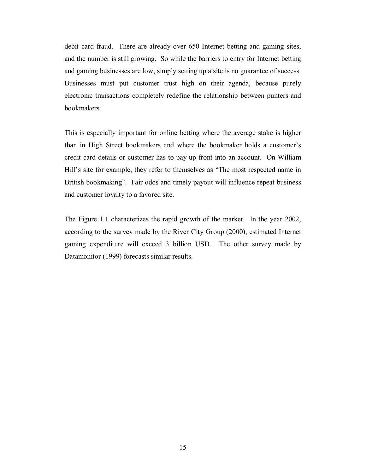debit card fraud. There are already over 650 Internet betting and gaming sites, and the number is still growing. So while the barriers to entry for Internet betting and gaming businesses are low, simply setting up a site is no guarantee of success. Businesses must put customer trust high on their agenda, because purely electronic transactions completely redefine the relationship between punters and bookmakers.

This is especially important for online betting where the average stake is higher than in High Street bookmakers and where the bookmaker holds a customer's credit card details or customer has to pay up-front into an account. On William Hill's site for example, they refer to themselves as "The most respected name in British bookmaking". Fair odds and timely payout will influence repeat business and customer loyalty to a favored site.

The Figure 1.1 characterizes the rapid growth of the market. In the year 2002, according to the survey made by the River City Group (2000), estimated Internet gaming expenditure will exceed 3 billion USD. The other survey made by Datamonitor (1999) forecasts similar results.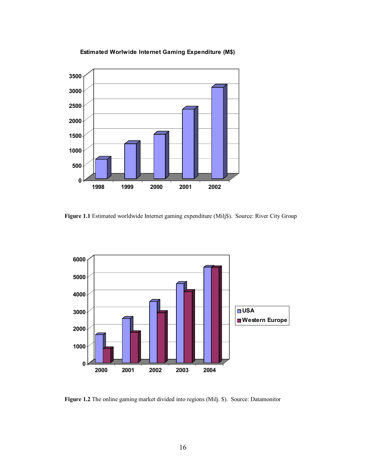



**Figure 1.1** Estimated worldwide Internet gaming expenditure (Milj\$). Source: River City Group



**Figure 1.2** The online gaming market divided into regions (Milj. \$). Source: Datamonitor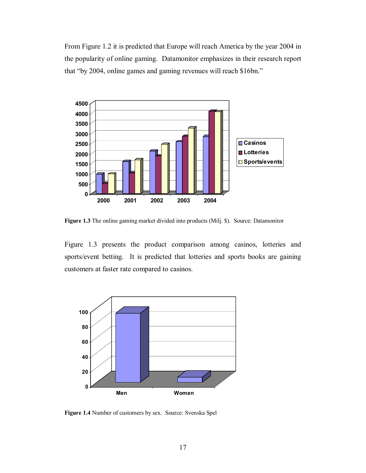From Figure 1.2 it is predicted that Europe will reach America by the year 2004 in the popularity of online gaming. Datamonitor emphasizes in their research report that "by 2004, online games and gaming revenues will reach \$16bn."



**Figure 1.3** The online gaming market divided into products (Milj. \$). Source: Datamonitor

Figure 1.3 presents the product comparison among casinos, lotteries and sports/event betting. It is predicted that lotteries and sports books are gaining customers at faster rate compared to casinos.



Figure 1.4 Number of customers by sex. Source: Svenska Spel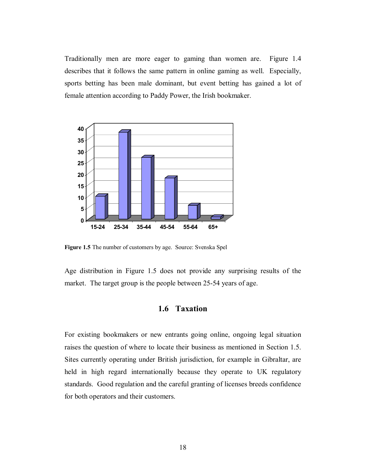Traditionally men are more eager to gaming than women are. Figure 1.4 describes that it follows the same pattern in online gaming as well. Especially, sports betting has been male dominant, but event betting has gained a lot of female attention according to Paddy Power, the Irish bookmaker.



**Figure 1.5** The number of customers by age. Source: Svenska Spel

Age distribution in Figure 1.5 does not provide any surprising results of the market. The target group is the people between 25-54 years of age.

#### **1.6 Taxation**

For existing bookmakers or new entrants going online, ongoing legal situation raises the question of where to locate their business as mentioned in Section 1.5. Sites currently operating under British jurisdiction, for example in Gibraltar, are held in high regard internationally because they operate to UK regulatory standards. Good regulation and the careful granting of licenses breeds confidence for both operators and their customers.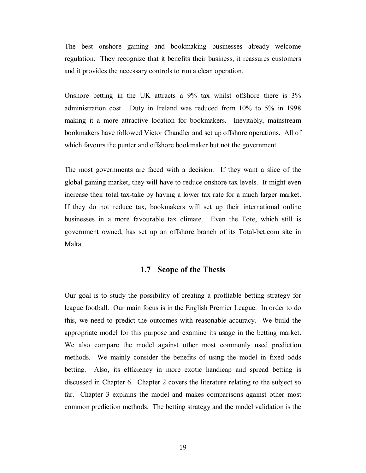The best onshore gaming and bookmaking businesses already welcome regulation. They recognize that it benefits their business, it reassures customers and it provides the necessary controls to run a clean operation.

Onshore betting in the UK attracts a 9% tax whilst offshore there is 3% administration cost. Duty in Ireland was reduced from 10% to 5% in 1998 making it a more attractive location for bookmakers. Inevitably, mainstream bookmakers have followed Victor Chandler and set up offshore operations. All of which favours the punter and offshore bookmaker but not the government.

The most governments are faced with a decision. If they want a slice of the global gaming market, they will have to reduce onshore tax levels. It might even increase their total tax-take by having a lower tax rate for a much larger market. If they do not reduce tax, bookmakers will set up their international online businesses in a more favourable tax climate. Even the Tote, which still is government owned, has set up an offshore branch of its Total-bet.com site in Malta.

## **1.7 Scope of the Thesis**

Our goal is to study the possibility of creating a profitable betting strategy for league football. Our main focus is in the English Premier League. In order to do this, we need to predict the outcomes with reasonable accuracy. We build the appropriate model for this purpose and examine its usage in the betting market. We also compare the model against other most commonly used prediction methods. We mainly consider the benefits of using the model in fixed odds betting. Also, its efficiency in more exotic handicap and spread betting is discussed in Chapter 6. Chapter 2 covers the literature relating to the subject so far. Chapter 3 explains the model and makes comparisons against other most common prediction methods. The betting strategy and the model validation is the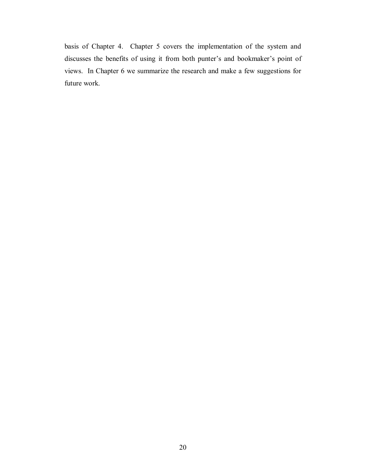basis of Chapter 4. Chapter 5 covers the implementation of the system and discusses the benefits of using it from both punter's and bookmaker's point of views. In Chapter 6 we summarize the research and make a few suggestions for future work.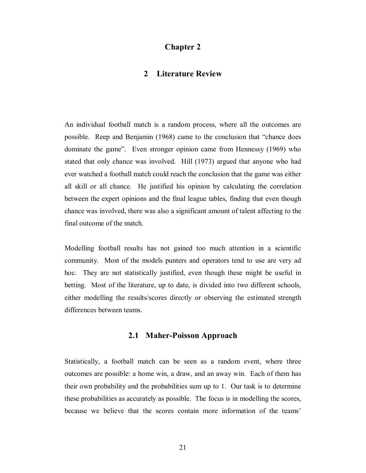### **Chapter 2**

### **2 Literature Review**

An individual football match is a random process, where all the outcomes are possible. Reep and Benjamin (1968) came to the conclusion that "chance does dominate the game". Even stronger opinion came from Hennessy (1969) who stated that only chance was involved. Hill (1973) argued that anyone who had ever watched a football match could reach the conclusion that the game was either all skill or all chance. He justified his opinion by calculating the correlation between the expert opinions and the final league tables, finding that even though chance was involved, there was also a significant amount of talent affecting to the final outcome of the match.

Modelling football results has not gained too much attention in a scientific community. Most of the models punters and operators tend to use are very ad hoc. They are not statistically justified, even though these might be useful in betting. Most of the literature, up to date, is divided into two different schools, either modelling the results/scores directly or observing the estimated strength differences between teams.

#### **2.1 Maher-Poisson Approach**

Statistically, a football match can be seen as a random event, where three outcomes are possible: a home win, a draw, and an away win. Each of them has their own probability and the probabilities sum up to 1. Our task is to determine these probabilities as accurately as possible. The focus is in modelling the scores, because we believe that the scores contain more information of the teams'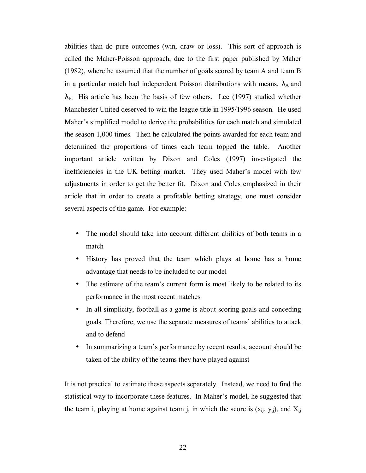abilities than do pure outcomes (win, draw or loss). This sort of approach is called the Maher-Poisson approach, due to the first paper published by Maher (1982), where he assumed that the number of goals scored by team A and team B in a particular match had independent Poisson distributions with means,  $\lambda_A$  and  $\lambda_{\text{B}}$ . His article has been the basis of few others. Lee (1997) studied whether Manchester United deserved to win the league title in 1995/1996 season. He used Maher's simplified model to derive the probabilities for each match and simulated the season 1,000 times. Then he calculated the points awarded for each team and determined the proportions of times each team topped the table. Another important article written by Dixon and Coles (1997) investigated the inefficiencies in the UK betting market. They used Maher's model with few adjustments in order to get the better fit. Dixon and Coles emphasized in their article that in order to create a profitable betting strategy, one must consider several aspects of the game. For example:

- The model should take into account different abilities of both teams in a match
- History has proved that the team which plays at home has a home advantage that needs to be included to our model
- The estimate of the team's current form is most likely to be related to its performance in the most recent matches
- In all simplicity, football as a game is about scoring goals and conceding goals. Therefore, we use the separate measures of teams' abilities to attack and to defend
- In summarizing a team's performance by recent results, account should be taken of the ability of the teams they have played against

It is not practical to estimate these aspects separately. Instead, we need to find the statistical way to incorporate these features. In Maher's model, he suggested that the team i, playing at home against team j, in which the score is  $(x_{ij}, y_{ij})$ , and  $X_{ij}$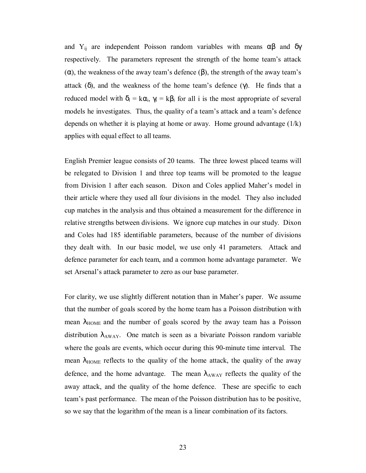and Y<sub>ij</sub> are independent Poisson random variables with means  $\alpha\beta$  and  $\delta\gamma$ respectively. The parameters represent the strength of the home team's attack (α), the weakness of the away team's defence  $(β)$ , the strength of the away team's attack  $(\delta)$ , and the weakness of the home team's defence  $(\gamma)$ . He finds that a reduced model with  $\delta_i = k\alpha_i$ ,  $\gamma_i = k\beta_i$  for all i is the most appropriate of several models he investigates. Thus, the quality of a team's attack and a team's defence depends on whether it is playing at home or away. Home ground advantage  $(1/k)$ applies with equal effect to all teams.

English Premier league consists of 20 teams. The three lowest placed teams will be relegated to Division 1 and three top teams will be promoted to the league from Division 1 after each season. Dixon and Coles applied Maher's model in their article where they used all four divisions in the model. They also included cup matches in the analysis and thus obtained a measurement for the difference in relative strengths between divisions. We ignore cup matches in our study. Dixon and Coles had 185 identifiable parameters, because of the number of divisions they dealt with. In our basic model, we use only 41 parameters. Attack and defence parameter for each team, and a common home advantage parameter. We set Arsenal's attack parameter to zero as our base parameter.

For clarity, we use slightly different notation than in Maher's paper. We assume that the number of goals scored by the home team has a Poisson distribution with mean  $\lambda_{\text{HOME}}$  and the number of goals scored by the away team has a Poisson distribution  $\lambda_{AWAY}$ . One match is seen as a bivariate Poisson random variable where the goals are events, which occur during this 90-minute time interval. The mean  $\lambda_{\text{HOME}}$  reflects to the quality of the home attack, the quality of the away defence, and the home advantage. The mean  $\lambda_{AWN}$  reflects the quality of the away attack, and the quality of the home defence. These are specific to each team's past performance. The mean of the Poisson distribution has to be positive, so we say that the logarithm of the mean is a linear combination of its factors.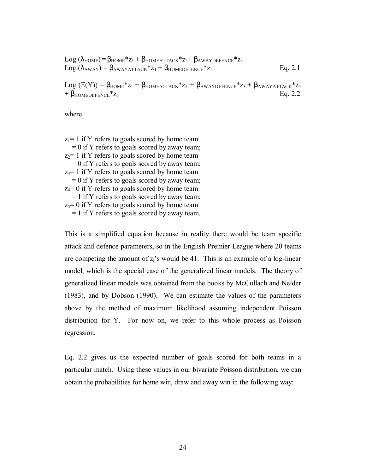$$
Log (\lambda_{HOME}) = \beta_{HOME} * z_1 + \beta_{HOMEATTACK} * z_2 + \beta_{AWAYDEFENCE} * z_3
$$
  

$$
Log (\lambda_{AWAY}) = \beta_{AWAYATTACK} * z_4 + \beta_{HOMEDEFENCE} * z_5
$$
 Eq. 2.1

Log  $(E(Y)) = \beta_{HOME} * z_1 + \beta_{HOMEATTACK} * z_2 + \beta_{AWAYDEFENCE} * z_3 + \beta_{AWAYATTACK} * z_4$  $+$   $\beta$ <sub>HOMEDEFENCE</sub>\*z<sub>5</sub> Eq. 2.2

where

 $z_1$ = 1 if Y refers to goals scored by home team  $= 0$  if Y refers to goals scored by away team;  $z_2$ = 1 if Y refers to goals scored by home team  $= 0$  if Y refers to goals scored by away team;  $z_3$ = 1 if Y refers to goals scored by home team  $= 0$  if Y refers to goals scored by away team;  $z_4$ = 0 if Y refers to goals scored by home team = 1 if Y refers to goals scored by away team;  $z_5$ = 0 if Y refers to goals scored by home team = 1 if Y refers to goals scored by away team.

This is a simplified equation because in reality there would be team specific attack and defence parameters, so in the English Premier League where 20 teams are competing the amount of  $z_i$ 's would be 41. This is an example of a log-linear model, which is the special case of the generalized linear models. The theory of generalized linear models was obtained from the books by McCullach and Nelder (1983), and by Dobson (1990). We can estimate the values of the parameters above by the method of maximum likelihood assuming independent Poisson distribution for Y. For now on, we refer to this whole process as Poisson regression.

Eq. 2.2 gives us the expected number of goals scored for both teams in a particular match. Using these values in our bivariate Poisson distribution, we can obtain the probabilities for home win, draw and away win in the following way: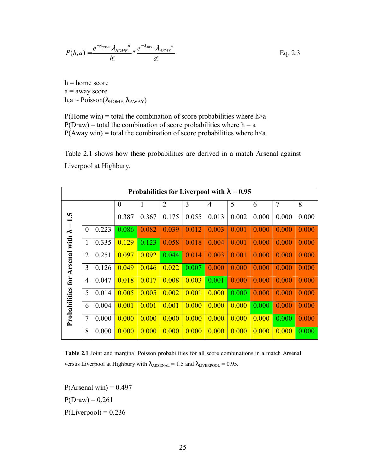$$
P(h,a) = \frac{e^{-\lambda_{HOME}} \lambda_{HOME}}{h!} * \frac{e^{-\lambda_{AWAY}} \lambda_{AWAY}}{a!}
$$
 Eq. 2.3

 $h = home score$  $a =$  away score  $h, a \sim Poisson(\lambda_{HOME}, \lambda_{AWAY})$ 

 $P(Home win) = total the combination of score probabilities where h>a$  $P(Draw) = total the combination of score probabilities where h = a$  $P(Away win) = total the combination of score probabilities where  $h \le a$$ 

Table 2.1 shows how these probabilities are derived in a match Arsenal against Liverpool at Highbury.

| Probabilities for Liverpool with $\lambda = 0.95$ |                |       |                |       |                |       |                |       |       |                |       |
|---------------------------------------------------|----------------|-------|----------------|-------|----------------|-------|----------------|-------|-------|----------------|-------|
|                                                   |                |       | $\overline{0}$ | 1     | $\overline{2}$ | 3     | $\overline{4}$ | 5     | 6     | $\overline{7}$ | 8     |
| r.<br>$\overline{\phantom{0}}$                    |                |       | 0.387          | 0.367 | 0.175          | 0.055 | 0.013          | 0.002 | 0.000 | 0.000          | 0.000 |
| $\sf II$<br>$\prec$                               | $\theta$       | 0.223 | 0.086          | 0.082 | 0.039          | 0.012 | 0.003          | 0.001 | 0.000 | 0.000          | 0.000 |
| with                                              | 1              | 0.335 | 0.129          | 0.123 | 0.058          | 0.018 | 0.004          | 0.001 | 0.000 | 0.000          | 0.000 |
| Arsenal                                           | $\overline{2}$ | 0.251 | 0.097          | 0.092 | 0.044          | 0.014 | 0.003          | 0.001 | 0.000 | 0.000          | 0.000 |
|                                                   | 3              | 0.126 | 0.049          | 0.046 | 0.022          | 0.007 | 0.000          | 0.000 | 0.000 | 0.000          | 0.000 |
|                                                   | $\overline{4}$ | 0.047 | 0.018          | 0.017 | 0.008          | 0.003 | 0.001          | 0.000 | 0.000 | 0.000          | 0.000 |
| Probabilities for                                 | 5              | 0.014 | 0.005          | 0.005 | 0.002          | 0.001 | 0.000          | 0.000 | 0.000 | 0.000          | 0.000 |
|                                                   | 6              | 0.004 | 0.001          | 0.001 | 0.001          | 0.000 | 0.000          | 0.000 | 0.000 | 0.000          | 0.000 |
|                                                   | $\overline{7}$ | 0.000 | 0.000          | 0.000 | 0.000          | 0.000 | 0.000          | 0.000 | 0.000 | 0.000          | 0.000 |
|                                                   | 8              | 0.000 | 0.000          | 0.000 | 0.000          | 0.000 | 0.000          | 0.000 | 0.000 | 0.000          | 0.000 |

**Table 2.1** Joint and marginal Poisson probabilities for all score combinations in a match Arsenal versus Liverpool at Highbury with  $\lambda_{ARSENAL} = 1.5$  and  $\lambda_{LIVERPOOL} = 0.95$ .

 $P($ Arsenal win $) = 0.497$  $P(Draw) = 0.261$  $P(Liverpool) = 0.236$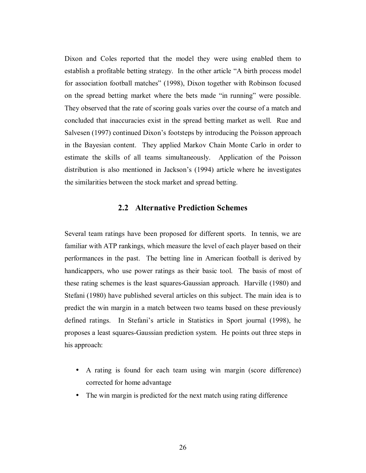Dixon and Coles reported that the model they were using enabled them to establish a profitable betting strategy. In the other article "A birth process model for association football matches" (1998), Dixon together with Robinson focused on the spread betting market where the bets made "in running" were possible. They observed that the rate of scoring goals varies over the course of a match and concluded that inaccuracies exist in the spread betting market as well. Rue and Salvesen (1997) continued Dixon's footsteps by introducing the Poisson approach in the Bayesian content. They applied Markov Chain Monte Carlo in order to estimate the skills of all teams simultaneously. Application of the Poisson distribution is also mentioned in Jackson's (1994) article where he investigates the similarities between the stock market and spread betting.

### **2.2 Alternative Prediction Schemes**

Several team ratings have been proposed for different sports. In tennis, we are familiar with ATP rankings, which measure the level of each player based on their performances in the past. The betting line in American football is derived by handicappers, who use power ratings as their basic tool. The basis of most of these rating schemes is the least squares-Gaussian approach. Harville (1980) and Stefani (1980) have published several articles on this subject. The main idea is to predict the win margin in a match between two teams based on these previously defined ratings. In Stefani's article in Statistics in Sport journal (1998), he proposes a least squares-Gaussian prediction system. He points out three steps in his approach:

- A rating is found for each team using win margin (score difference) corrected for home advantage
- The win margin is predicted for the next match using rating difference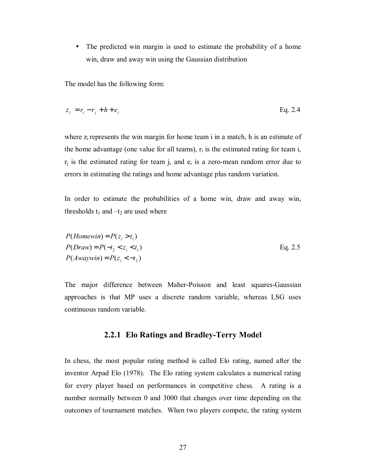• The predicted win margin is used to estimate the probability of a home win, draw and away win using the Gaussian distribution

The model has the following form:

$$
z_i = r_i - r_j + h + e_i \tag{Eq. 2.4}
$$

where  $z_i$  represents the win margin for home team i in a match, h is an estimate of the home advantage (one value for all teams),  $r_i$  is the estimated rating for team i,  $r_i$  is the estimated rating for team j, and  $e_i$  is a zero-mean random error due to errors in estimating the ratings and home advantage plus random variation.

In order to estimate the probabilities of a home win, draw and away win, thresholds  $t_1$  and  $-t_2$  are used where

$$
P(Homewin) = P(z_i > t_1)
$$
  
\n
$$
P(Draw) = P(-t_2 < z_i < t_1)
$$
  
\n
$$
P(Awaywin) = P(z_i < -t_2)
$$
  
\nEq. 2.5

The major difference between Maher-Poisson and least squares-Gaussian approaches is that MP uses a discrete random variable, whereas LSG uses continuous random variable.

#### **2.2.1 Elo Ratings and Bradley-Terry Model**

In chess, the most popular rating method is called Elo rating, named after the inventor Arpad Elo (1978). The Elo rating system calculates a numerical rating for every player based on performances in competitive chess. A rating is a number normally between 0 and 3000 that changes over time depending on the outcomes of tournament matches. When two players compete, the rating system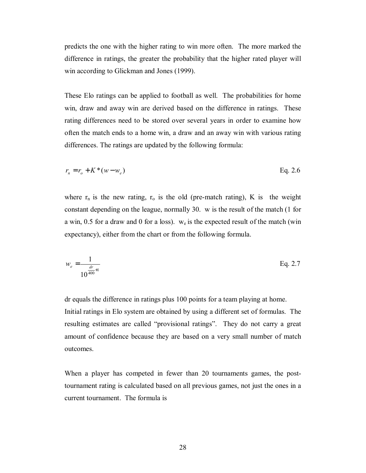predicts the one with the higher rating to win more often. The more marked the difference in ratings, the greater the probability that the higher rated player will win according to Glickman and Jones (1999).

These Elo ratings can be applied to football as well. The probabilities for home win, draw and away win are derived based on the difference in ratings. These rating differences need to be stored over several years in order to examine how often the match ends to a home win, a draw and an away win with various rating differences. The ratings are updated by the following formula:

$$
r_n = r_o + K^*(w - w_e) \tag{Eq. 2.6}
$$

where  $r_n$  is the new rating,  $r_0$  is the old (pre-match rating), K is the weight constant depending on the league, normally 30. w is the result of the match (1 for a win, 0.5 for a draw and 0 for a loss).  $w_e$  is the expected result of the match (win expectancy), either from the chart or from the following formula.

$$
w_e = \frac{1}{10^{\frac{dr}{400}+1}}
$$
 Eq. 2.7

dr equals the difference in ratings plus 100 points for a team playing at home. Initial ratings in Elo system are obtained by using a different set of formulas. The resulting estimates are called "provisional ratings". They do not carry a great amount of confidence because they are based on a very small number of match outcomes.

When a player has competed in fewer than 20 tournaments games, the posttournament rating is calculated based on all previous games, not just the ones in a current tournament. The formula is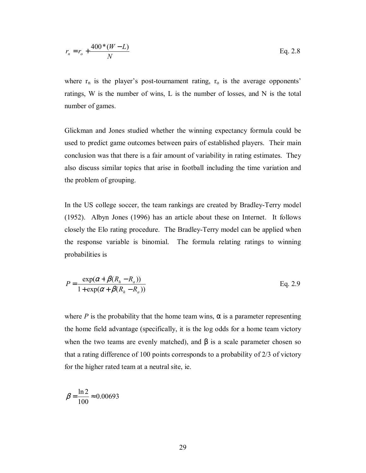$$
r_n = r_o + \frac{400*(W - L)}{N}
$$
 Eq. 2.8

where  $r_n$  is the player's post-tournament rating,  $r_o$  is the average opponents' ratings, W is the number of wins, L is the number of losses, and N is the total number of games.

Glickman and Jones studied whether the winning expectancy formula could be used to predict game outcomes between pairs of established players. Their main conclusion was that there is a fair amount of variability in rating estimates. They also discuss similar topics that arise in football including the time variation and the problem of grouping.

In the US college soccer, the team rankings are created by Bradley-Terry model (1952). Albyn Jones (1996) has an article about these on Internet. It follows closely the Elo rating procedure. The Bradley-Terry model can be applied when the response variable is binomial. The formula relating ratings to winning probabilities is

$$
P = \frac{\exp(\alpha + \beta(R_h - R_a))}{1 + \exp(\alpha + \beta(R_h - R_a))}
$$
 Eq. 2.9

where *P* is the probability that the home team wins,  $\alpha$  is a parameter representing the home field advantage (specifically, it is the log odds for a home team victory when the two teams are evenly matched), and  $\beta$  is a scale parameter chosen so that a rating difference of 100 points corresponds to a probability of 2/3 of victory for the higher rated team at a neutral site, ie.

$$
\beta = \frac{\ln 2}{100} \approx 0.00693
$$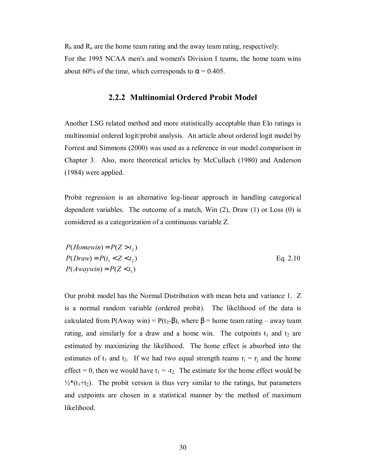$R_h$  and  $R_a$  are the home team rating and the away team rating, respectively. For the 1995 NCAA men's and women's Division I teams, the home team wins about 60% of the time, which corresponds to  $\alpha$  = 0.405.

#### **2.2.2 Multinomial Ordered Probit Model**

Another LSG related method and more statistically acceptable than Elo ratings is multinomial ordered logit/probit analysis. An article about ordered logit model by Forrest and Simmons (2000) was used as a reference in our model comparison in Chapter 3. Also, more theoretical articles by McCullach (1980) and Anderson (1984) were applied.

Probit regression is an alternative log-linear approach in handling categorical dependent variables. The outcome of a match, Win (2), Draw (1) or Loss (0) is considered as a categorization of a continuous variable Z.

$$
P(Homewin) = P(Z > t2)
$$
  
\n
$$
P(Draw) = P(t1 < Z < t2)
$$
  
\n
$$
P(Awaywin) = P(Z < t1)
$$
  
\nEq. 2.10

Our probit model has the Normal Distribution with mean beta and variance 1. Z is a normal random variable (ordered probit). The likelihood of the data is calculated from P(Away win) = P(t<sub>2</sub>- $\beta$ ), where  $\beta$  = home team rating – away team rating, and similarly for a draw and a home win. The cutpoints  $t_1$  and  $t_2$  are estimated by maximizing the likelihood. The home effect is absorbed into the estimates of  $t_1$  and  $t_2$ . If we had two equal strength teams  $r_i = r_i$  and the home effect = 0, then we would have  $t_1 = -t_2$ . The estimate for the home effect would be  $\frac{1}{2}$ <sup>\*</sup>(t<sub>1</sub>+t<sub>2</sub>). The probit version is thus very similar to the ratings, but parameters and cutpoints are chosen in a statistical manner by the method of maximum likelihood.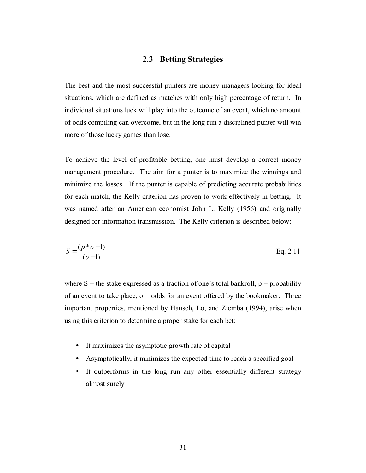## **2.3 Betting Strategies**

The best and the most successful punters are money managers looking for ideal situations, which are defined as matches with only high percentage of return. In individual situations luck will play into the outcome of an event, which no amount of odds compiling can overcome, but in the long run a disciplined punter will win more of those lucky games than lose.

To achieve the level of profitable betting, one must develop a correct money management procedure. The aim for a punter is to maximize the winnings and minimize the losses. If the punter is capable of predicting accurate probabilities for each match, the Kelly criterion has proven to work effectively in betting. It was named after an American economist John L. Kelly (1956) and originally designed for information transmission. The Kelly criterion is described below:

$$
S = \frac{(p^*o - 1)}{(o - 1)}
$$
 Eq. 2.11

where S = the stake expressed as a fraction of one's total bankroll,  $p =$  probability of an event to take place,  $o =$  odds for an event offered by the bookmaker. Three important properties, mentioned by Hausch, Lo, and Ziemba (1994), arise when using this criterion to determine a proper stake for each bet:

- It maximizes the asymptotic growth rate of capital
- Asymptotically, it minimizes the expected time to reach a specified goal
- It outperforms in the long run any other essentially different strategy almost surely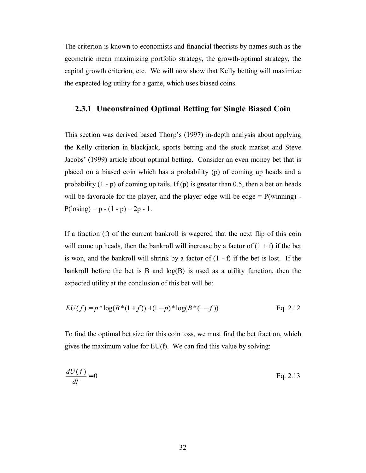The criterion is known to economists and financial theorists by names such as the geometric mean maximizing portfolio strategy, the growth-optimal strategy, the capital growth criterion, etc. We will now show that Kelly betting will maximize the expected log utility for a game, which uses biased coins.

### **2.3.1 Unconstrained Optimal Betting for Single Biased Coin**

This section was derived based Thorp's (1997) in-depth analysis about applying the Kelly criterion in blackjack, sports betting and the stock market and Steve Jacobs' (1999) article about optimal betting. Consider an even money bet that is placed on a biased coin which has a probability (p) of coming up heads and a probability  $(1 - p)$  of coming up tails. If  $(p)$  is greater than 0.5, then a bet on heads will be favorable for the player, and the player edge will be edge  $= P(winning) P(\text{losing}) = p - (1 - p) = 2p - 1.$ 

If a fraction (f) of the current bankroll is wagered that the next flip of this coin will come up heads, then the bankroll will increase by a factor of  $(1 + f)$  if the bet is won, and the bankroll will shrink by a factor of  $(1 - f)$  if the bet is lost. If the bankroll before the bet is B and  $log(B)$  is used as a utility function, then the expected utility at the conclusion of this bet will be:

$$
EU(f) = p * log(B * (1 + f)) + (1 - p) * log(B * (1 - f))
$$
 Eq. 2.12

To find the optimal bet size for this coin toss, we must find the bet fraction, which gives the maximum value for EU(f). We can find this value by solving:

$$
\frac{dU(f)}{df} = 0
$$
 Eq. 2.13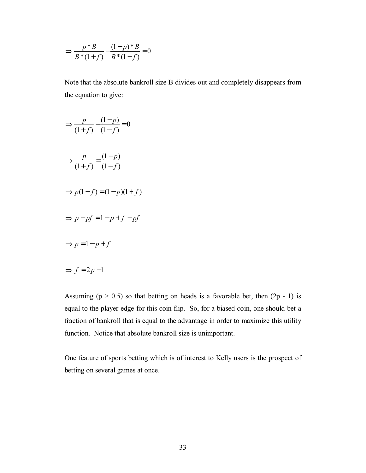$$
\Rightarrow \frac{p*B}{B*(1+f)} - \frac{(1-p)*B}{B*(1-f)} = 0
$$

Note that the absolute bankroll size B divides out and completely disappears from the equation to give:

$$
\Rightarrow \frac{p}{(1+f)} - \frac{(1-p)}{(1-f)} = 0
$$
  

$$
\Rightarrow \frac{p}{(1+f)} = \frac{(1-p)}{(1-f)}
$$
  

$$
\Rightarrow p(1-f) = (1-p)(1+f)
$$
  

$$
\Rightarrow p - pf = 1 - p + f - pf
$$
  

$$
\Rightarrow p = 1 - p + f
$$
  

$$
\Rightarrow f = 2p - 1
$$

Assuming ( $p > 0.5$ ) so that betting on heads is a favorable bet, then ( $2p - 1$ ) is equal to the player edge for this coin flip. So, for a biased coin, one should bet a fraction of bankroll that is equal to the advantage in order to maximize this utility function. Notice that absolute bankroll size is unimportant.

One feature of sports betting which is of interest to Kelly users is the prospect of betting on several games at once.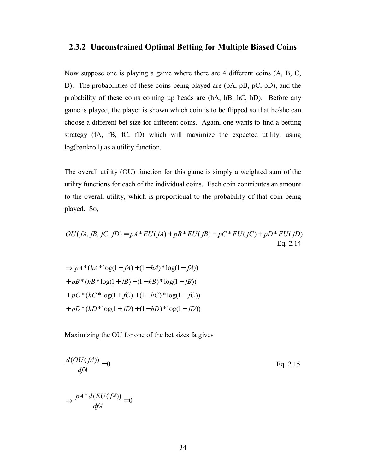## **2.3.2 Unconstrained Optimal Betting for Multiple Biased Coins**

Now suppose one is playing a game where there are 4 different coins (A, B, C, D). The probabilities of these coins being played are (pA, pB, pC, pD), and the probability of these coins coming up heads are (hA, hB, hC, hD). Before any game is played, the player is shown which coin is to be flipped so that he/she can choose a different bet size for different coins. Again, one wants to find a betting strategy (fA, fB, fC, fD) which will maximize the expected utility, using log(bankroll) as a utility function.

The overall utility (OU) function for this game is simply a weighted sum of the utility functions for each of the individual coins. Each coin contributes an amount to the overall utility, which is proportional to the probability of that coin being played. So,

$$
OU(fA, fB, fC, fD) = pA*EU(fA) + pB*EU(fB) + pC*EU(fC) + pD*EU(fD)
$$
  
Eq. 2.14

$$
\Rightarrow pA^*(hA^* \log(1 + fA) + (1 - hA)^* \log(1 - fA))
$$
  
+ 
$$
pB^*(hB^* \log(1 + fB) + (1 - hB)^* \log(1 - fB))
$$
  
+ 
$$
pC^*(hC^* \log(1 + fC) + (1 - hC)^* \log(1 - fC))
$$
  
+ 
$$
pD^*(hD^* \log(1 + fD) + (1 - hD)^* \log(1 - fD))
$$

Maximizing the OU for one of the bet sizes fa gives

$$
\frac{d(OU(fA))}{dfA} = 0
$$
 Eq. 2.15

$$
\Rightarrow \frac{pA * d(EU(fA))}{dfA} = 0
$$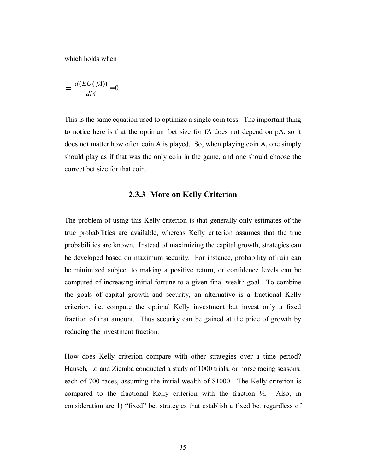which holds when

$$
\Rightarrow \frac{d(EU(fA))}{dfA} = 0
$$

This is the same equation used to optimize a single coin toss. The important thing to notice here is that the optimum bet size for fA does not depend on pA, so it does not matter how often coin A is played. So, when playing coin A, one simply should play as if that was the only coin in the game, and one should choose the correct bet size for that coin.

## **2.3.3 More on Kelly Criterion**

The problem of using this Kelly criterion is that generally only estimates of the true probabilities are available, whereas Kelly criterion assumes that the true probabilities are known. Instead of maximizing the capital growth, strategies can be developed based on maximum security. For instance, probability of ruin can be minimized subject to making a positive return, or confidence levels can be computed of increasing initial fortune to a given final wealth goal. To combine the goals of capital growth and security, an alternative is a fractional Kelly criterion, i.e. compute the optimal Kelly investment but invest only a fixed fraction of that amount. Thus security can be gained at the price of growth by reducing the investment fraction.

How does Kelly criterion compare with other strategies over a time period? Hausch, Lo and Ziemba conducted a study of 1000 trials, or horse racing seasons, each of 700 races, assuming the initial wealth of \$1000. The Kelly criterion is compared to the fractional Kelly criterion with the fraction ½. Also, in consideration are 1) "fixed" bet strategies that establish a fixed bet regardless of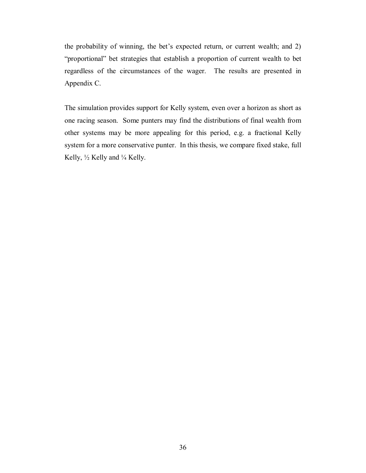the probability of winning, the bet's expected return, or current wealth; and 2) "proportional" bet strategies that establish a proportion of current wealth to bet regardless of the circumstances of the wager. The results are presented in Appendix C.

The simulation provides support for Kelly system, even over a horizon as short as one racing season. Some punters may find the distributions of final wealth from other systems may be more appealing for this period, e.g. a fractional Kelly system for a more conservative punter. In this thesis, we compare fixed stake, full Kelly, ½ Kelly and ¼ Kelly.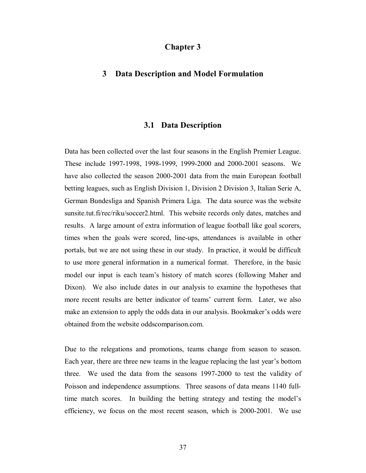## **Chapter 3**

## **3 Data Description and Model Formulation**

#### **3.1 Data Description**

Data has been collected over the last four seasons in the English Premier League. These include 1997-1998, 1998-1999, 1999-2000 and 2000-2001 seasons. We have also collected the season 2000-2001 data from the main European football betting leagues, such as English Division 1, Division 2 Division 3, Italian Serie A, German Bundesliga and Spanish Primera Liga. The data source was the website sunsite.tut.fi/rec/riku/soccer2.html. This website records only dates, matches and results. A large amount of extra information of league football like goal scorers, times when the goals were scored, line-ups, attendances is available in other portals, but we are not using these in our study. In practice, it would be difficult to use more general information in a numerical format. Therefore, in the basic model our input is each team's history of match scores (following Maher and Dixon). We also include dates in our analysis to examine the hypotheses that more recent results are better indicator of teams' current form. Later, we also make an extension to apply the odds data in our analysis. Bookmaker's odds were obtained from the website oddscomparison.com.

Due to the relegations and promotions, teams change from season to season. Each year, there are three new teams in the league replacing the last year's bottom three. We used the data from the seasons 1997-2000 to test the validity of Poisson and independence assumptions. Three seasons of data means 1140 fulltime match scores. In building the betting strategy and testing the model's efficiency, we focus on the most recent season, which is 2000-2001. We use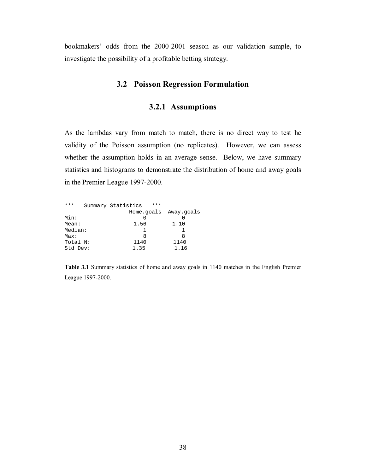bookmakers' odds from the 2000-2001 season as our validation sample, to investigate the possibility of a profitable betting strategy.

## **3.2 Poisson Regression Formulation**

## **3.2.1 Assumptions**

As the lambdas vary from match to match, there is no direct way to test he validity of the Poisson assumption (no replicates). However, we can assess whether the assumption holds in an average sense. Below, we have summary statistics and histograms to demonstrate the distribution of home and away goals in the Premier League 1997-2000.

| ***      | Summary Statistics | *** |                       |
|----------|--------------------|-----|-----------------------|
|          |                    |     | Home.goals Away.goals |
| Min:     |                    |     |                       |
| Mean:    | 1.56               |     | 1.10                  |
| Median:  |                    |     |                       |
| Max:     | 8                  |     | 8                     |
| Total N: | 1140               |     | 1140                  |
| Std Dev: | 1.35               |     | 1.16                  |

**Table 3.1** Summary statistics of home and away goals in 1140 matches in the English Premier League 1997-2000.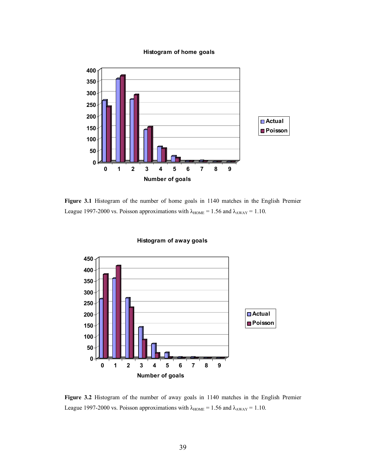

#### **Histogram of home goals**

**Figure 3.1** Histogram of the number of home goals in 1140 matches in the English Premier League 1997-2000 vs. Poisson approximations with  $\lambda_{\text{HOME}} = 1.56$  and  $\lambda_{\text{AWAY}} = 1.10$ .



#### **Histogram of away goals**

**Figure 3.2** Histogram of the number of away goals in 1140 matches in the English Premier League 1997-2000 vs. Poisson approximations with  $\lambda_{\text{HOME}} = 1.56$  and  $\lambda_{\text{AWAY}} = 1.10$ .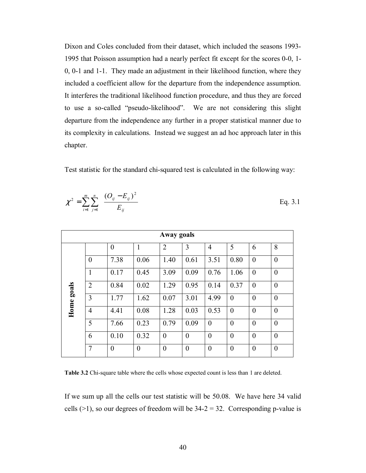Dixon and Coles concluded from their dataset, which included the seasons 1993- 1995 that Poisson assumption had a nearly perfect fit except for the scores 0-0, 1- 0, 0-1 and 1-1. They made an adjustment in their likelihood function, where they included a coefficient allow for the departure from the independence assumption. It interferes the traditional likelihood function procedure, and thus they are forced to use a so-called "pseudo-likelihood". We are not considering this slight departure from the independence any further in a proper statistical manner due to its complexity in calculations. Instead we suggest an ad hoc approach later in this chapter.

Test statistic for the standard chi-squared test is calculated in the following way:

$$
\chi^2 = \sum_{i=1}^m \sum_{j=1}^n \frac{(O_{ij} - E_{ij})^2}{E_{ij}}
$$
 Eq. 3.1

| Away goals |                |                  |                |                |                  |                  |                  |                  |                |  |
|------------|----------------|------------------|----------------|----------------|------------------|------------------|------------------|------------------|----------------|--|
|            |                | $\boldsymbol{0}$ | $\mathbf{1}$   | $\overline{2}$ | 3                | 4                | 5                | 6                | 8              |  |
|            | $\theta$       | 7.38             | 0.06           | 1.40           | 0.61             | 3.51             | 0.80             | $\overline{0}$   | $\theta$       |  |
|            | $\mathbf{1}$   | 0.17             | 0.45           | 3.09           | 0.09             | 0.76             | 1.06             | $\boldsymbol{0}$ | $\overline{0}$ |  |
| goals      | $\overline{2}$ | 0.84             | 0.02           | 1.29           | 0.95             | 0.14             | 0.37             | $\boldsymbol{0}$ | $\overline{0}$ |  |
|            | 3              | 1.77             | 1.62           | 0.07           | 3.01             | 4.99             | $\overline{0}$   | $\overline{0}$   | $\theta$       |  |
| Home       | $\overline{4}$ | 4.41             | 0.08           | 1.28           | 0.03             | 0.53             | $\boldsymbol{0}$ | $\boldsymbol{0}$ | $\overline{0}$ |  |
|            | 5              | 7.66             | 0.23           | 0.79           | 0.09             | $\overline{0}$   | $\overline{0}$   | $\overline{0}$   | $\theta$       |  |
|            | 6              | 0.10             | 0.32           | $\overline{0}$ | $\overline{0}$   | $\theta$         | $\overline{0}$   | $\overline{0}$   | $\theta$       |  |
|            | $\overline{7}$ | $\boldsymbol{0}$ | $\overline{0}$ | $\overline{0}$ | $\boldsymbol{0}$ | $\boldsymbol{0}$ | $\overline{0}$   | $\boldsymbol{0}$ | $\theta$       |  |

**Table 3.2** Chi-square table where the cells whose expected count is less than 1 are deleted.

If we sum up all the cells our test statistic will be 50.08. We have here 34 valid cells ( $>1$ ), so our degrees of freedom will be 34-2 = 32. Corresponding p-value is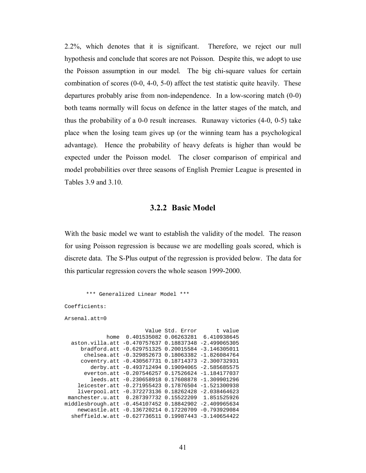2.2%, which denotes that it is significant. Therefore, we reject our null hypothesis and conclude that scores are not Poisson. Despite this, we adopt to use the Poisson assumption in our model. The big chi-square values for certain combination of scores (0-0, 4-0, 5-0) affect the test statistic quite heavily. These departures probably arise from non-independence. In a low-scoring match (0-0) both teams normally will focus on defence in the latter stages of the match, and thus the probability of a 0-0 result increases. Runaway victories (4-0, 0-5) take place when the losing team gives up (or the winning team has a psychological advantage). Hence the probability of heavy defeats is higher than would be expected under the Poisson model. The closer comparison of empirical and model probabilities over three seasons of English Premier League is presented in Tables 3.9 and 3.10.

## **3.2.2 Basic Model**

With the basic model we want to establish the validity of the model. The reason for using Poisson regression is because we are modelling goals scored, which is discrete data. The S-Plus output of the regression is provided below. The data for this particular regression covers the whole season 1999-2000.

```
 *** Generalized Linear Model *** 
Coefficients: 
Arsenal.att=0 
                         Value Std. Error t value
              home 0.401535082 0.06263281 6.410938645 
   aston.villa.att -0.470757637 0.18837348 -2.499065305 
      bradford.att -0.629751325 0.20015584 -3.146305011 
       chelsea.att -0.329852673 0.18063382 -1.826084764 
      coventry.att -0.430567731 0.18714373 -2.300732931 
         derby.att -0.493712494 0.19094065 -2.585685575 
       everton.att -0.207546257 0.17526624 -1.184177037 
         leeds.att -0.230658918 0.17608878 -1.309901296 
     leicester.att -0.271955423 0.17876504 -1.521300938 
     liverpool.att -0.372273136 0.18262428 -2.038464623 
  manchester.u.att 0.287397732 0.15522209 1.851525926 
middlesbrough.att -0.454107452 0.18842902 -2.409965634 
     newcastle.att -0.136720214 0.17220709 -0.793929084 
   sheffield.w.att -0.627736511 0.19987443 -3.140654422
```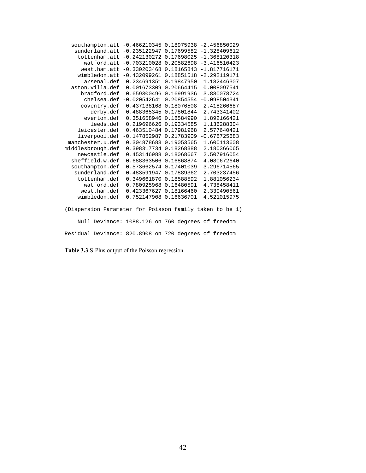| southampton.att                                         | $-0.466210345$ | 0.18975938 | $-2.456850029$                     |
|---------------------------------------------------------|----------------|------------|------------------------------------|
| sunderland.att                                          | $-0.235122947$ | 0.17699582 | $-1.328409612$                     |
| tottenham.att                                           | $-0.242130272$ | 0.17698025 | $-1.368120318$                     |
| watford.att                                             | $-0.703210028$ | 0.20582698 | $-3.416510423$                     |
| west.ham.att                                            | $-0.330203468$ | 0.18165843 | $-1.817716171$                     |
| wimbledon.att                                           | $-0.432099261$ | 0.18851518 | $-2.292119171$                     |
| arsenal.def                                             | 0.234691351    | 0.19847950 | 1.182446307                        |
| aston.villa.def                                         | 0.001673309    | 0.20664415 | 0.008097541                        |
| bradford.def                                            | 0.659300496    | 0.16991936 | 3.880078724                        |
| chelsea.def                                             | $-0.020542641$ | 0.20854554 | $-0.098504341$                     |
| coventry.def                                            | 0.437138168    | 0.18076508 | 2.418266687                        |
| derby.def                                               | 0.488365345    | 0.17801844 | 2.743341402                        |
| everton.def                                             | 0.351658946    | 0.18584990 | 1.892166421                        |
| leeds.def                                               | 0.219696626    | 0.19334585 | 1.136288304                        |
| leicester.def                                           | 0.463510484    | 0.17981968 | 2.577640421                        |
| liverpool.def                                           | $-0.147852987$ | 0.21783909 | $-0.678725683$                     |
| manchester.u.def                                        | 0.304878683    | 0.19053565 | 1.600113608                        |
| middlesbrough.def                                       | 0.398317734    | 0.18268388 | 2.180366065                        |
| newcastle.def                                           | 0.453146988    | 0.18068667 | 2.507916054                        |
| sheffield.w.def                                         | 0.688363506    | 0.16868874 | 4.080672640                        |
| southampton.def                                         | 0.573662574    | 0.17401039 | 3.296714565                        |
| sunderland.def                                          | 0.483591947    | 0.17889362 | 2.703237456                        |
| tottenham.def                                           | 0.349661870    | 0.18588592 | 1.881056234                        |
| watford.def                                             | 0.780925968    | 0.16480591 | 4.738458411                        |
| west.ham.def                                            | 0.423367627    | 0.18166460 | 2.330490561                        |
| wimbledon.def                                           | 0.752147908    | 0.16636701 | 4.521015975                        |
|                                                         |                |            |                                    |
| (Dispersion Parameter for Poisson family taken to be 1) |                |            |                                    |
| Null Deviance:                                          |                |            | 1088.126 on 760 degrees of freedom |
| Residual Deviance: 820.8908 on 720 degrees of freedom   |                |            |                                    |

**Table 3.3** S-Plus output of the Poisson regression.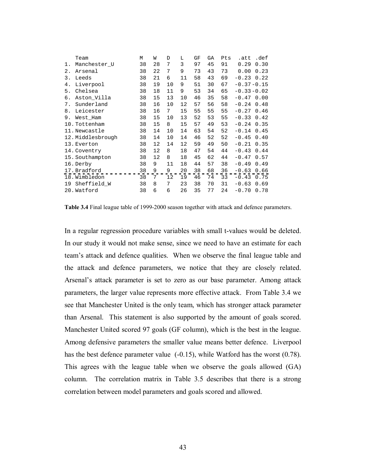|    | Team              | М  | W  | D  | L  | GF | GА | Pts | .att           | .def |
|----|-------------------|----|----|----|----|----|----|-----|----------------|------|
| 1. | Manchester_U      | 38 | 28 | 7  | 3  | 97 | 45 | 91  | 0.29           | 0.30 |
| 2. | Arsenal           | 38 | 22 | 7  | 9  | 73 | 43 | 73  | 0.00           | 0.23 |
| 3. | Leeds             | 38 | 21 | 6  | 11 | 58 | 43 | 69  | $-0.23$        | 0.22 |
| 4. | Liverpool         | 38 | 19 | 10 | 9  | 51 | 30 | 67  | $-0.37 - 0.15$ |      |
| 5. | Chelsea           | 38 | 18 | 11 | 9  | 53 | 34 | 65  | $-0.33 - 0.02$ |      |
| б. | Aston_Villa       | 38 | 15 | 13 | 10 | 46 | 35 | 58  | $-0.47$        | 0.00 |
| 7. | Sunderland        | 38 | 16 | 10 | 12 | 57 | 56 | 58  | $-0.24$        | 0.48 |
| 8. | Leicester         | 38 | 16 | 7  | 15 | 55 | 55 | 55  | $-0.27$        | 0.46 |
| 9. | West Ham          | 38 | 15 | 10 | 13 | 52 | 53 | 55  | $-0.33$        | 0.42 |
|    | 10. Tottenham     | 38 | 15 | 8  | 15 | 57 | 49 | 53  | $-0.24$        | 0.35 |
|    | 11. Newcastle     | 38 | 14 | 10 | 14 | 63 | 54 | 52  | $-0.14$        | 0.45 |
|    | 12. Middlesbrough | 38 | 14 | 10 | 14 | 46 | 52 | 52  | $-0.45$        | 0.40 |
|    | 13. Everton       | 38 | 12 | 14 | 12 | 59 | 49 | 50  | $-0.21$        | 0.35 |
|    | 14. Coventry      | 38 | 12 | 8  | 18 | 47 | 54 | 44  | $-0.43$        | 0.44 |
|    | 15. Southampton   | 38 | 12 | 8  | 18 | 45 | 62 | 44  | $-0.47$        | 0.57 |
|    | 16. Derby         | 38 | 9  | 11 | 18 | 44 | 57 | 38  | $-0.49$        | 0.49 |
|    | 17. Bradford      | 38 | 9  | 9  | 20 | 38 | 68 | 36  | $-0.63$        | 0.66 |
|    | 18. Wimbledon     | 38 | 7  | 12 | 19 | 46 | 74 | 33  | $-0.43$        | 0.75 |
| 19 | Sheffield W       | 38 | 8  | 7  | 23 | 38 | 70 | 31  | $-0.63$        | 0.69 |
|    | 20. Watford       | 38 | 6  | 6  | 26 | 35 | 77 | 24  | $-0.70$        | 0.78 |

**Table 3.4** Final league table of 1999-2000 season together with attack and defence parameters.

In a regular regression procedure variables with small t-values would be deleted. In our study it would not make sense, since we need to have an estimate for each team's attack and defence qualities. When we observe the final league table and the attack and defence parameters, we notice that they are closely related. Arsenal's attack parameter is set to zero as our base parameter. Among attack parameters, the larger value represents more effective attack. From Table 3.4 we see that Manchester United is the only team, which has stronger attack parameter than Arsenal. This statement is also supported by the amount of goals scored. Manchester United scored 97 goals (GF column), which is the best in the league. Among defensive parameters the smaller value means better defence. Liverpool has the best defence parameter value (-0.15), while Watford has the worst (0.78). This agrees with the league table when we observe the goals allowed (GA) column. The correlation matrix in Table 3.5 describes that there is a strong correlation between model parameters and goals scored and allowed.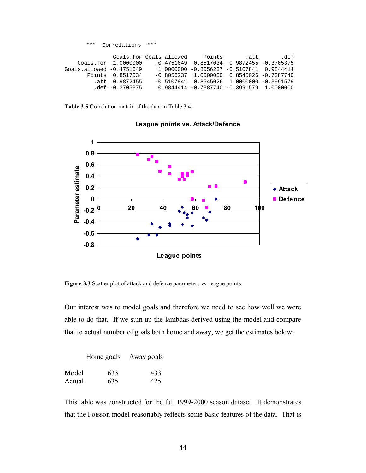|                            | *** Correlations *** |                                               |                                               |      |
|----------------------------|----------------------|-----------------------------------------------|-----------------------------------------------|------|
|                            |                      |                                               |                                               |      |
|                            |                      | Goals.for Goals.allowed Points .att           |                                               | def. |
|                            | Goals.for 1.0000000  |                                               | $-0.4751649$ 0.8517034 0.9872455 -0.3705375   |      |
| $Goals.allowed -0.4751649$ |                      | $1.0000000 - 0.8056237 - 0.5107841$ 0.9844414 |                                               |      |
|                            | Points 0.8517034     |                                               | $-0.8056237$ 1.0000000 0.8545026 $-0.7387740$ |      |
|                            | att 0.9872455.       |                                               | $-0.5107841$ 0.8545026 1.0000000 $-0.3991579$ |      |
|                            | $.def -0.3705375$    | $0.9844414 - 0.7387740 - 0.3991579$ 1.0000000 |                                               |      |

**Table 3.5** Correlation matrix of the data in Table 3.4.



#### **League points vs. Attack/Defence**

**Figure 3.3** Scatter plot of attack and defence parameters vs. league points.

Our interest was to model goals and therefore we need to see how well we were able to do that. If we sum up the lambdas derived using the model and compare that to actual number of goals both home and away, we get the estimates below:

|        |     | Home goals Away goals |
|--------|-----|-----------------------|
| Model  | 633 | 433                   |
| Actual | 635 | 425                   |

This table was constructed for the full 1999-2000 season dataset. It demonstrates that the Poisson model reasonably reflects some basic features of the data. That is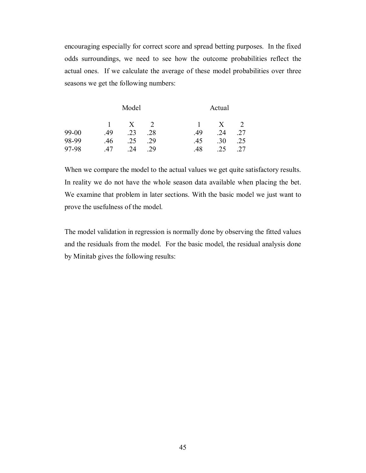encouraging especially for correct score and spread betting purposes. In the fixed odds surroundings, we need to see how the outcome probabilities reflect the actual ones. If we calculate the average of these model probabilities over three seasons we get the following numbers:

|           | Model |              |     |     | Actual |     |  |  |
|-----------|-------|--------------|-----|-----|--------|-----|--|--|
|           |       | $\mathbf{X}$ |     |     | X      |     |  |  |
| $99 - 00$ | 49    | .23          | .28 | .49 | .24    | .27 |  |  |
| 98-99     | .46   | .25          | .29 | .45 | .30    | .25 |  |  |
| 97-98     | 47    | 24           | 29  | .48 | .25    | .27 |  |  |

When we compare the model to the actual values we get quite satisfactory results. In reality we do not have the whole season data available when placing the bet. We examine that problem in later sections. With the basic model we just want to prove the usefulness of the model.

The model validation in regression is normally done by observing the fitted values and the residuals from the model. For the basic model, the residual analysis done by Minitab gives the following results: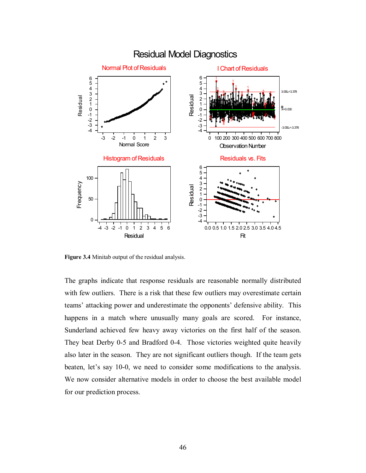

**Figure 3.4** Minitab output of the residual analysis.

The graphs indicate that response residuals are reasonable normally distributed with few outliers. There is a risk that these few outliers may overestimate certain teams' attacking power and underestimate the opponents' defensive ability. This happens in a match where unusually many goals are scored. For instance, Sunderland achieved few heavy away victories on the first half of the season. They beat Derby 0-5 and Bradford 0-4. Those victories weighted quite heavily also later in the season. They are not significant outliers though. If the team gets beaten, let's say 10-0, we need to consider some modifications to the analysis. We now consider alternative models in order to choose the best available model for our prediction process.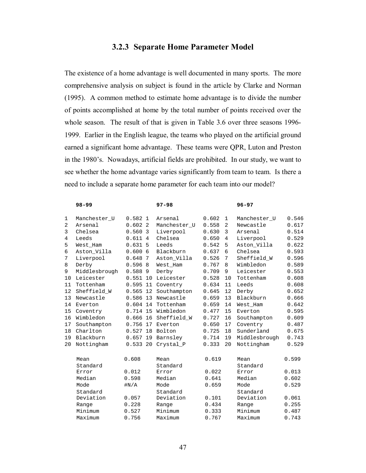# **3.2.3 Separate Home Parameter Model**

The existence of a home advantage is well documented in many sports. The more comprehensive analysis on subject is found in the article by Clarke and Norman (1995). A common method to estimate home advantage is to divide the number of points accomplished at home by the total number of points received over the whole season. The result of that is given in Table 3.6 over three seasons 1996- 1999. Earlier in the English league, the teams who played on the artificial ground earned a significant home advantage. These teams were QPR, Luton and Preston in the 1980's. Nowadays, artificial fields are prohibited. In our study, we want to see whether the home advantage varies significantly from team to team. Is there a need to include a separate home parameter for each team into our model?

|    | $98 - 99$     |            |   | $97 - 98$          |       |                | $96 - 97$     |       |
|----|---------------|------------|---|--------------------|-------|----------------|---------------|-------|
| 1  | Manchester U  | 0.5821     |   | Arsenal            | 0.602 | $\mathbf{1}$   | Manchester U  | 0.546 |
| 2  | Arsenal       | 0.6022     |   | Manchester U       | 0.558 | 2              | Newcastle     | 0.617 |
| 3  | Chelsea       | 0.560      | 3 | Liverpool          | 0.630 | 3              | Arsenal       | 0.514 |
| 4  | Leeds         | 0.6114     |   | Chelsea            | 0.650 | $\overline{4}$ | Liverpool     | 0.529 |
| 5  | West Ham      | 0.6315     |   | Leeds              | 0.542 | 5              | Aston_Villa   | 0.622 |
| 6  | Aston_Villa   | 0.6006     |   | Blackburn          | 0.637 | 6              | Chelsea       | 0.593 |
| 7  | Liverpool     | 0.648      | 7 | Aston Villa        | 0.526 | 7              | Sheffield_W   | 0.596 |
| 8  | Derby         | 0.5968     |   | West Ham           | 0.767 | 8              | Wimbledon     | 0.589 |
| 9  | Middlesbrough | 0.5889     |   | Derby              | 0.709 | 9              | Leicester     | 0.553 |
| 10 | Leicester     | $0.551$ 10 |   | Leicester          | 0.528 | 10             | Tottenham     | 0.608 |
| 11 | Tottenham     | $0.595$ 11 |   | Coventry           | 0.634 | 11             | Leeds         | 0.608 |
| 12 | Sheffield W   | $0.565$ 12 |   | Southampton        | 0.645 | 12             | Derby         | 0.652 |
| 13 | Newcastle     |            |   | 0.586 13 Newcastle | 0.659 | 13             | Blackburn     | 0.666 |
|    | 14 Everton    | $0.604$ 14 |   | Tottenham          | 0.659 | 14             | West Ham      | 0.642 |
| 15 | Coventry      | 0.714 15   |   | Wimbledon          | 0.477 | 15             | Everton       | 0.595 |
| 16 | Wimbledon     | 0.666 16   |   | Sheffield W        | 0.727 | 16             | Southampton   | 0.609 |
| 17 | Southampton   |            |   | 0.756 17 Everton   | 0.650 | 17             | Coventry      | 0.487 |
| 18 | Charlton      | $0.527$ 18 |   | Bolton             | 0.725 | 18             | Sunderland    | 0.675 |
| 19 | Blackburn     | $0.657$ 19 |   | Barnsley           | 0.714 | 19             | Middlesbrough | 0.743 |
| 20 | Nottingham    | 0.533 20   |   | Crystal P          | 0.333 | 20             | Nottingham    | 0.529 |
|    | Mean          | 0.608      |   | Mean               | 0.619 |                | Mean          | 0.599 |
|    | Standard      |            |   | Standard           |       |                | Standard      |       |
|    | Error         | 0.012      |   | Error              | 0.022 |                | Error         | 0.013 |
|    | Median        | 0.598      |   | Median             | 0.641 |                | Median        | 0.602 |
|    | Mode          | #N/A       |   | Mode               | 0.659 |                | Mode          | 0.529 |
|    | Standard      |            |   | Standard           |       |                | Standard      |       |
|    | Deviation     | 0.057      |   | Deviation          | 0.101 |                | Deviation     | 0.061 |
|    | Range         | 0.228      |   | Range              | 0.434 |                | Range         | 0.255 |
|    | Minimum       | 0.527      |   | Minimum            | 0.333 |                | Minimum       | 0.487 |
|    | Maximum       | 0.756      |   | Maximum            | 0.767 |                | Maximum       | 0.743 |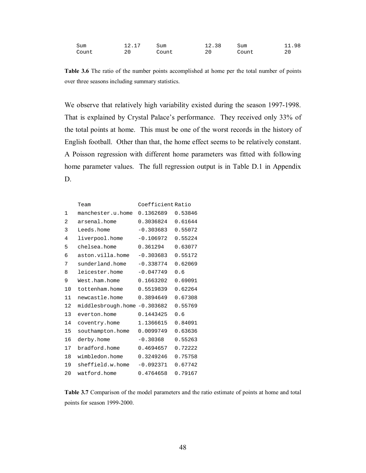| Sum   | 12.11 | Sum   | 12.38 | Sum   | .98<br>. . |
|-------|-------|-------|-------|-------|------------|
| Count | 20    | Count | 20    | Count | 20         |

**Table 3.6** The ratio of the number points accomplished at home per the total number of points over three seasons including summary statistics.

We observe that relatively high variability existed during the season 1997-1998. That is explained by Crystal Palace's performance. They received only 33% of the total points at home. This must be one of the worst records in the history of English football. Other than that, the home effect seems to be relatively constant. A Poisson regression with different home parameters was fitted with following home parameter values. The full regression output is in Table D.1 in Appendix D.

|    | Team                         | Coefficient Ratio |         |
|----|------------------------------|-------------------|---------|
| 1  | manchester.u.home            | 0.1362689         | 0.53846 |
| 2  | arsenal.home                 | 0.3036824         | 0.61644 |
| 3  | Leeds.home                   | $-0.303683$       | 0.55072 |
| 4  | liverpool.home               | $-0.106972$       | 0.55224 |
| 5  | chelsea.home                 | 0.361294          | 0.63077 |
| 6  | aston.villa.home             | $-0.303683$       | 0.55172 |
| 7  | sunderland.home              | $-0.338774$       | 0.62069 |
| 8  | leicester.home               | $-0.047749$       | 0.6     |
| 9  | West.ham.home                | 0.1663202         | 0.69091 |
| 10 | tottenham.home               | 0.5519839         | 0.62264 |
| 11 | newcastle.home               | 0.3894649         | 0.67308 |
| 12 | middlesbrough.home -0.303682 |                   | 0.55769 |
| 13 | everton.home                 | 0.1443425         | 0.6     |
| 14 | coventry.home                | 1.1366615         | 0.84091 |
| 15 | southampton.home             | 0.0099749         | 0.63636 |
| 16 | derby.home                   | $-0.30368$        | 0.55263 |
| 17 | bradford.home                | 0.4694657         | 0.72222 |
| 18 | wimbledon.home               | 0.3249246         | 0.75758 |
| 19 | sheffield.w.home             | $-0.092371$       | 0.67742 |
| 20 | watford.home                 | 0.4764658         | 0.79167 |

**Table 3.7** Comparison of the model parameters and the ratio estimate of points at home and total points for season 1999-2000.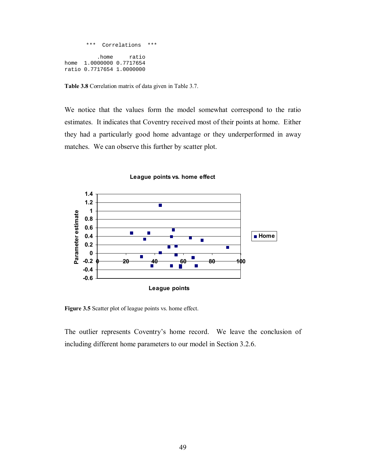```
 *** Correlations *** 
           .home ratio 
home 1.0000000 0.7717654
ratio 0.7717654 1.0000000
```
**Table 3.8** Correlation matrix of data given in Table 3.7.

We notice that the values form the model somewhat correspond to the ratio estimates. It indicates that Coventry received most of their points at home. Either they had a particularly good home advantage or they underperformed in away matches. We can observe this further by scatter plot.



**League points vs. home effect**

**Figure 3.5** Scatter plot of league points vs. home effect.

The outlier represents Coventry's home record. We leave the conclusion of including different home parameters to our model in Section 3.2.6.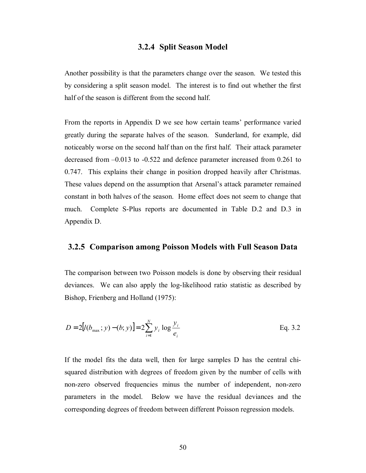## **3.2.4 Split Season Model**

Another possibility is that the parameters change over the season. We tested this by considering a split season model. The interest is to find out whether the first half of the season is different from the second half.

From the reports in Appendix D we see how certain teams' performance varied greatly during the separate halves of the season. Sunderland, for example, did noticeably worse on the second half than on the first half. Their attack parameter decreased from –0.013 to -0.522 and defence parameter increased from 0.261 to 0.747. This explains their change in position dropped heavily after Christmas. These values depend on the assumption that Arsenal's attack parameter remained constant in both halves of the season. Home effect does not seem to change that much. Complete S-Plus reports are documented in Table D.2 and D.3 in Appendix D.

#### **3.2.5 Comparison among Poisson Models with Full Season Data**

The comparison between two Poisson models is done by observing their residual deviances. We can also apply the log-likelihood ratio statistic as described by Bishop, Frienberg and Holland (1975):

$$
D = 2[l(b_{\text{max}}; y) - (b; y)] = 2\sum_{i=1}^{N} y_i \log \frac{y_i}{e_i}
$$
 Eq. 3.2

If the model fits the data well, then for large samples D has the central chisquared distribution with degrees of freedom given by the number of cells with non-zero observed frequencies minus the number of independent, non-zero parameters in the model. Below we have the residual deviances and the corresponding degrees of freedom between different Poisson regression models.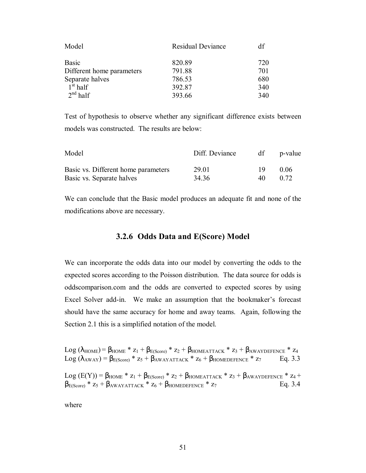| <b>Residual Deviance</b> | df  |
|--------------------------|-----|
| 820.89                   | 720 |
| 791.88                   | 701 |
| 786.53                   | 680 |
| 392.87                   | 340 |
| 393.66                   | 340 |
|                          |     |

Test of hypothesis to observe whether any significant difference exists between models was constructed. The results are below:

| Model                               | Diff. Deviance | df | p-value |
|-------------------------------------|----------------|----|---------|
| Basic vs. Different home parameters | 29.01          | 19 | 0.06    |
| Basic vs. Separate halves           | 34 36          | 40 | 0.72    |

We can conclude that the Basic model produces an adequate fit and none of the modifications above are necessary.

## **3.2.6 Odds Data and E(Score) Model**

We can incorporate the odds data into our model by converting the odds to the expected scores according to the Poisson distribution. The data source for odds is oddscomparison.com and the odds are converted to expected scores by using Excel Solver add-in. We make an assumption that the bookmaker's forecast should have the same accuracy for home and away teams. Again, following the Section 2.1 this is a simplified notation of the model.

Log ( $\lambda_{\text{HOME}}$ ) =  $\beta_{\text{HOME}}$  \*  $z_1$  +  $\beta_{\text{E(Score)}}$  \*  $z_2$  +  $\beta_{\text{HOMEATTACK}}$  \*  $z_3$  +  $\beta_{\text{AWAYDEFENCE}}$  \*  $z_4$ Log ( $\lambda_{\text{AWAY}}$ ) =  $\beta_{\text{E(Score)}}$  \*  $z_5$  +  $\beta_{\text{AWAYATTACK}}$  \*  $z_6$  +  $\beta_{\text{HOMEDEFENCE}}$  \*  $z_7$  Eq. 3.3

Log  $(E(Y)) = \beta_{HOME} * z_1 + \beta_{E(Score)} * z_2 + \beta_{HOMEATTACK} * z_3 + \beta_{AWAYDEFENCE} * z_4 +$  $\beta_{E(Score)} * z_5 + \beta_{AWAYATTACK} * z_6 + \beta_{HOMEDEFENCE} * z_7$  Eq. 3.4

where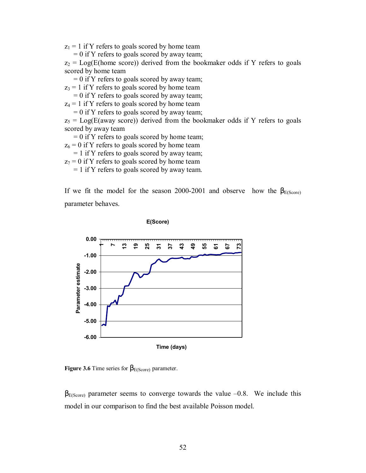$z_1 = 1$  if Y refers to goals scored by home team

 $= 0$  if Y refers to goals scored by away team;

 $z_2$  = Log(E(home score)) derived from the bookmaker odds if Y refers to goals scored by home team

 $= 0$  if Y refers to goals scored by away team;

 $z_3 = 1$  if Y refers to goals scored by home team

 $= 0$  if Y refers to goals scored by away team;

 $z_4 = 1$  if Y refers to goals scored by home team

 $= 0$  if Y refers to goals scored by away team;

 $z_5$  = Log(E(away score)) derived from the bookmaker odds if Y refers to goals scored by away team

 $= 0$  if Y refers to goals scored by home team;

 $z_6 = 0$  if Y refers to goals scored by home team

= 1 if Y refers to goals scored by away team;

 $z_7 = 0$  if Y refers to goals scored by home team

= 1 if Y refers to goals scored by away team.

If we fit the model for the season 2000-2001 and observe how the  $\beta_{E(Score)}$ parameter behaves.

**0.00 13 19 25 43 49 55 731 37 61 67 73 1-1.00** Parameter estimate **Parameter estimate -2.00 -3.00 -4.00 -5.00 -6.00 Time (days)**

**E(Score)**

**Figure 3.6** Time series for  $\beta_{E(Score)}$  parameter.

 $\beta_{E(Score)}$  parameter seems to converge towards the value –0.8. We include this model in our comparison to find the best available Poisson model.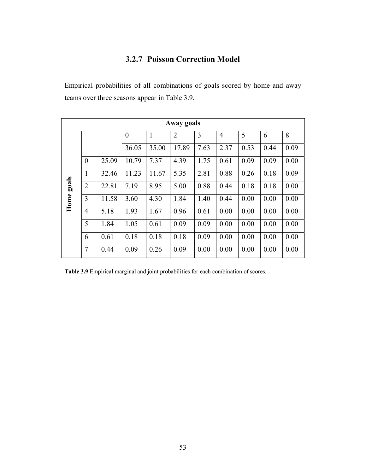# **3.2.7 Poisson Correction Model**

Empirical probabilities of all combinations of goals scored by home and away teams over three seasons appear in Table 3.9.

| Away goals    |                |       |                |       |                |      |                |      |      |      |
|---------------|----------------|-------|----------------|-------|----------------|------|----------------|------|------|------|
|               |                |       | $\overline{0}$ | 1     | $\overline{2}$ | 3    | $\overline{4}$ | 5    | 6    | 8    |
|               |                |       | 36.05          | 35.00 | 17.89          | 7.63 | 2.37           | 0.53 | 0.44 | 0.09 |
| goals<br>Home | $\theta$       | 25.09 | 10.79          | 7.37  | 4.39           | 1.75 | 0.61           | 0.09 | 0.09 | 0.00 |
|               | $\mathbf{1}$   | 32.46 | 11.23          | 11.67 | 5.35           | 2.81 | 0.88           | 0.26 | 0.18 | 0.09 |
|               | $\overline{2}$ | 22.81 | 7.19           | 8.95  | 5.00           | 0.88 | 0.44           | 0.18 | 0.18 | 0.00 |
|               | 3              | 11.58 | 3.60           | 4.30  | 1.84           | 1.40 | 0.44           | 0.00 | 0.00 | 0.00 |
|               | $\overline{4}$ | 5.18  | 1.93           | 1.67  | 0.96           | 0.61 | 0.00           | 0.00 | 0.00 | 0.00 |
|               | 5              | 1.84  | 1.05           | 0.61  | 0.09           | 0.09 | 0.00           | 0.00 | 0.00 | 0.00 |
|               | 6              | 0.61  | 0.18           | 0.18  | 0.18           | 0.09 | 0.00           | 0.00 | 0.00 | 0.00 |
|               | $\overline{7}$ | 0.44  | 0.09           | 0.26  | 0.09           | 0.00 | 0.00           | 0.00 | 0.00 | 0.00 |

**Table 3.9** Empirical marginal and joint probabilities for each combination of scores.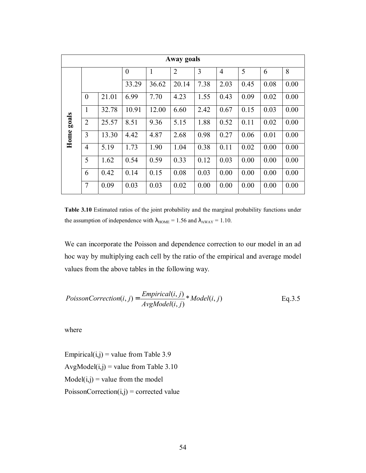| Away goals    |                |       |          |       |                |      |      |      |      |      |
|---------------|----------------|-------|----------|-------|----------------|------|------|------|------|------|
|               |                |       | $\theta$ | 1     | $\overline{2}$ | 3    | 4    | 5    | 6    | 8    |
| goals<br>Home |                |       | 33.29    | 36.62 | 20.14          | 7.38 | 2.03 | 0.45 | 0.08 | 0.00 |
|               | $\overline{0}$ | 21.01 | 6.99     | 7.70  | 4.23           | 1.55 | 0.43 | 0.09 | 0.02 | 0.00 |
|               | $\mathbf{1}$   | 32.78 | 10.91    | 12.00 | 6.60           | 2.42 | 0.67 | 0.15 | 0.03 | 0.00 |
|               | $\overline{2}$ | 25.57 | 8.51     | 9.36  | 5.15           | 1.88 | 0.52 | 0.11 | 0.02 | 0.00 |
|               | 3              | 13.30 | 4.42     | 4.87  | 2.68           | 0.98 | 0.27 | 0.06 | 0.01 | 0.00 |
|               | $\overline{4}$ | 5.19  | 1.73     | 1.90  | 1.04           | 0.38 | 0.11 | 0.02 | 0.00 | 0.00 |
|               | 5              | 1.62  | 0.54     | 0.59  | 0.33           | 0.12 | 0.03 | 0.00 | 0.00 | 0.00 |
|               | 6              | 0.42  | 0.14     | 0.15  | 0.08           | 0.03 | 0.00 | 0.00 | 0.00 | 0.00 |
|               | $\overline{7}$ | 0.09  | 0.03     | 0.03  | 0.02           | 0.00 | 0.00 | 0.00 | 0.00 | 0.00 |

**Table 3.10** Estimated ratios of the joint probability and the marginal probability functions under the assumption of independence with  $\lambda_{\text{HOME}} = 1.56$  and  $\lambda_{\text{AWAY}} = 1.10$ .

We can incorporate the Poisson and dependence correction to our model in an ad hoc way by multiplying each cell by the ratio of the empirical and average model values from the above tables in the following way.

$$
PoissonCorrection(i, j) = \frac{Empirical(i, j)}{AvgModel(i, j)} * Model(i, j)
$$
 Eq. 3.5

where

Empirical $(i,j)$  = value from Table 3.9 AvgModel $(i,j)$  = value from Table 3.10  $Model(i,j) = value from the model$  $PoissonCorrection(i,j) = corrected value$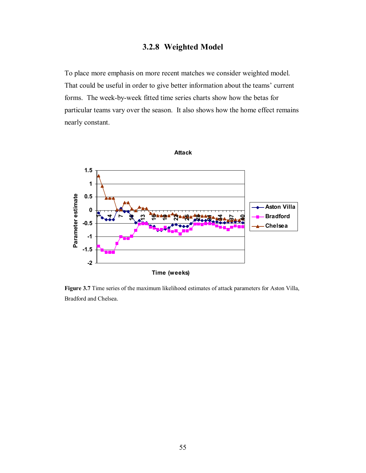# **3.2.8 Weighted Model**

To place more emphasis on more recent matches we consider weighted model. That could be useful in order to give better information about the teams' current forms. The week-by-week fitted time series charts show how the betas for particular teams vary over the season. It also shows how the home effect remains nearly constant.



**Figure 3.7** Time series of the maximum likelihood estimates of attack parameters for Aston Villa, Bradford and Chelsea.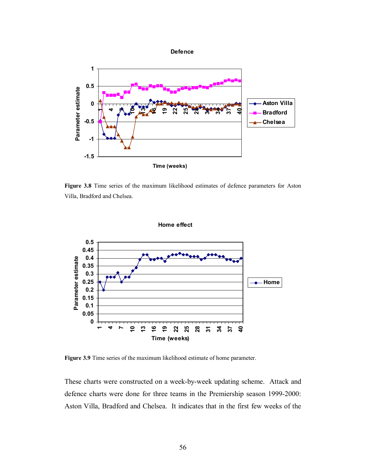

**Figure 3.8** Time series of the maximum likelihood estimates of defence parameters for Aston Villa, Bradford and Chelsea.



**Figure 3.9** Time series of the maximum likelihood estimate of home parameter.

These charts were constructed on a week-by-week updating scheme. Attack and defence charts were done for three teams in the Premiership season 1999-2000: Aston Villa, Bradford and Chelsea. It indicates that in the first few weeks of the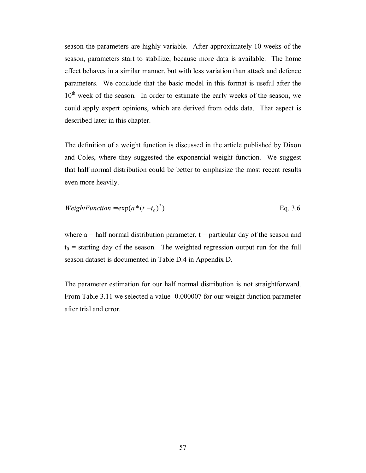season the parameters are highly variable. After approximately 10 weeks of the season, parameters start to stabilize, because more data is available. The home effect behaves in a similar manner, but with less variation than attack and defence parameters. We conclude that the basic model in this format is useful after the  $10<sup>th</sup>$  week of the season. In order to estimate the early weeks of the season, we could apply expert opinions, which are derived from odds data. That aspect is described later in this chapter.

The definition of a weight function is discussed in the article published by Dixon and Coles, where they suggested the exponential weight function. We suggest that half normal distribution could be better to emphasize the most recent results even more heavily.

*WeightFunction* = 
$$
exp(a*(t-t_0)^2)
$$
 Eq. 3.6

where  $a =$  half normal distribution parameter,  $t =$  particular day of the season and  $t_0$  = starting day of the season. The weighted regression output run for the full season dataset is documented in Table D.4 in Appendix D.

The parameter estimation for our half normal distribution is not straightforward. From Table 3.11 we selected a value -0.000007 for our weight function parameter after trial and error.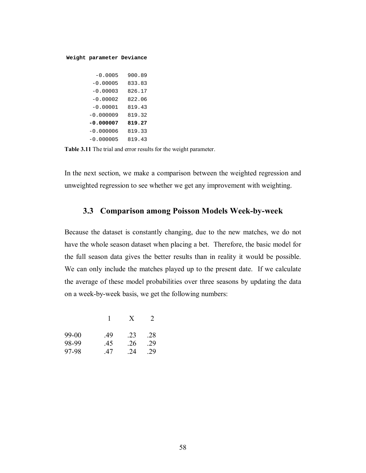#### **Weight parameter Deviance**

| $-0.0005$   | 900.89 |
|-------------|--------|
| $-0.00005$  | 833.83 |
| $-0.00003$  | 826.17 |
| $-0.00002$  | 822.06 |
| $-0.00001$  | 819.43 |
| $-0.000009$ | 819.32 |
| $-0.000007$ | 819.27 |
| $-0.000006$ | 819.33 |
| $-0.000005$ | 819.43 |

**Table 3.11** The trial and error results for the weight parameter.

In the next section, we make a comparison between the weighted regression and unweighted regression to see whether we get any improvement with weighting.

## **3.3 Comparison among Poisson Models Week-by-week**

Because the dataset is constantly changing, due to the new matches, we do not have the whole season dataset when placing a bet. Therefore, the basic model for the full season data gives the better results than in reality it would be possible. We can only include the matches played up to the present date. If we calculate the average of these model probabilities over three seasons by updating the data on a week-by-week basis, we get the following numbers:

|         |     | X   | $\mathcal{L}$ |
|---------|-----|-----|---------------|
| $99-00$ | -49 | 23  | .28           |
| 98-99   | .45 | .26 | .29           |
| 97-98   | 47  | 24  | 29            |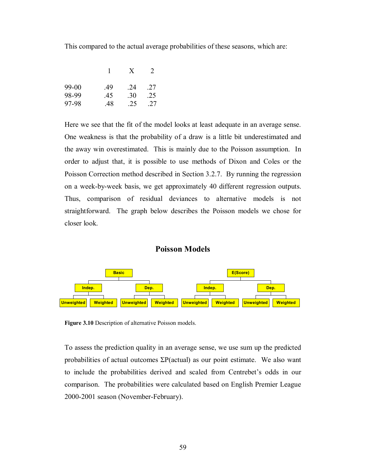This compared to the actual average probabilities of these seasons, which are:

|         |     | X   | 2   |
|---------|-----|-----|-----|
| $99-00$ | -49 | -24 | 27  |
| 98-99   | .45 | .30 | .25 |
| 97-98   | 48  | 25  | -27 |

Here we see that the fit of the model looks at least adequate in an average sense. One weakness is that the probability of a draw is a little bit underestimated and the away win overestimated. This is mainly due to the Poisson assumption. In order to adjust that, it is possible to use methods of Dixon and Coles or the Poisson Correction method described in Section 3.2.7. By running the regression on a week-by-week basis, we get approximately 40 different regression outputs. Thus, comparison of residual deviances to alternative models is not straightforward. The graph below describes the Poisson models we chose for closer look.

## **Poisson Models**



**Figure 3.10** Description of alternative Poisson models.

To assess the prediction quality in an average sense, we use sum up the predicted probabilities of actual outcomes  $\Sigma P$ (actual) as our point estimate. We also want to include the probabilities derived and scaled from Centrebet's odds in our comparison. The probabilities were calculated based on English Premier League 2000-2001 season (November-February).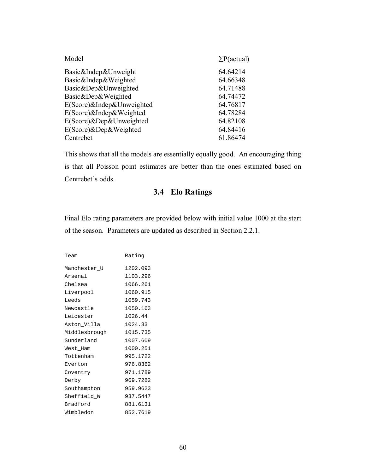| Model                     | $\Sigma P$ (actual) |
|---------------------------|---------------------|
| Basic&Indep&Unweight      | 64.64214            |
| Basic&Indep&Weighted      | 64.66348            |
| Basic&Dep&Unweighted      | 64.71488            |
| Basic&Dep&Weighted        | 64.74472            |
| E(Score)&Indep&Unweighted | 64.76817            |
| E(Score)&Indep&Weighted   | 64.78284            |
| E(Score)&Dep&Unweighted   | 64.82108            |
| E(Score)&Dep&Weighted     | 64.84416            |
| Centrebet                 | 61.86474            |

This shows that all the models are essentially equally good. An encouraging thing is that all Poisson point estimates are better than the ones estimated based on Centrebet's odds.

# **3.4 Elo Ratings**

Final Elo rating parameters are provided below with initial value 1000 at the start of the season. Parameters are updated as described in Section 2.2.1.

| Team          | Rating   |
|---------------|----------|
| Manchester U  | 1202.093 |
| Arsenal       | 1103.296 |
| Chelsea       | 1066.261 |
| Liverpool     | 1060.915 |
| Leeds         | 1059.743 |
| Newcastle     | 1050.163 |
| Leicester     | 1026.44  |
| Aston_Villa   | 1024.33  |
| Middlesbrough | 1015.735 |
| Sunderland    | 1007.609 |
| West Ham      | 1000.251 |
| Tottenham     | 995.1722 |
| Everton       | 976.8362 |
| Coventry      | 971.1789 |
| Derby         | 969.7282 |
| Southampton   | 959.9623 |
| Sheffield W   | 937.5447 |
| Bradford      | 881.6131 |
| Wimbledon     | 852.7619 |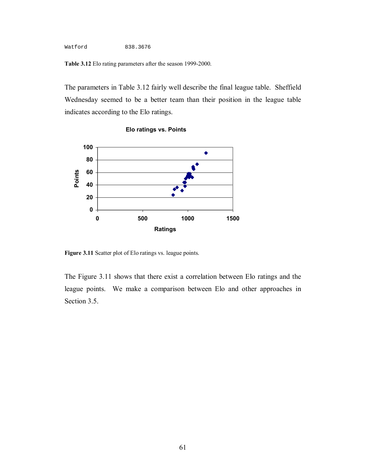Watford 838.3676

**Table 3.12** Elo rating parameters after the season 1999-2000.

The parameters in Table 3.12 fairly well describe the final league table. Sheffield Wednesday seemed to be a better team than their position in the league table indicates according to the Elo ratings.



**Elo ratings vs. Points**

**Figure 3.11** Scatter plot of Elo ratings vs. league points.

The Figure 3.11 shows that there exist a correlation between Elo ratings and the league points. We make a comparison between Elo and other approaches in Section 3.5.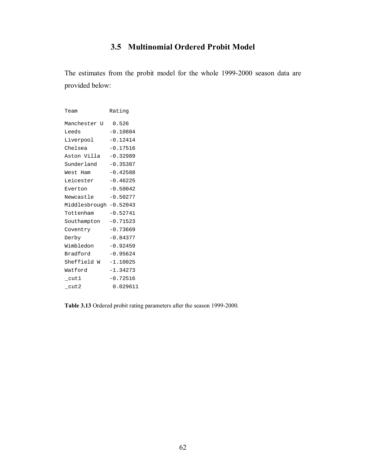# **3.5 Multinomial Ordered Probit Model**

The estimates from the probit model for the whole 1999-2000 season data are provided below:

| Team                   | Rating     |  |  |  |
|------------------------|------------|--|--|--|
| Manchester U           | 0.526      |  |  |  |
| Leeds                  | $-0.10804$ |  |  |  |
| Liverpool              | $-0.12414$ |  |  |  |
| Chelsea                | $-0.17516$ |  |  |  |
| Aston Villa            | $-0.32989$ |  |  |  |
| Sunderland             | $-0.35387$ |  |  |  |
| West Ham               | $-0.42588$ |  |  |  |
| Leicester              | $-0.46225$ |  |  |  |
| Everton                | $-0.50042$ |  |  |  |
| Newcastle              | $-0.50277$ |  |  |  |
| Middlesbrough -0.52043 |            |  |  |  |
| Tottenham              | $-0.52741$ |  |  |  |
| Southampton            | $-0.71523$ |  |  |  |
| Coventry               | $-0.73669$ |  |  |  |
| Derby                  | $-0.84377$ |  |  |  |
| Wimbledon              | $-0.92459$ |  |  |  |
| Bradford               | $-0.95624$ |  |  |  |
| Sheffield W            | $-1.10025$ |  |  |  |
| Watford                | $-1.34273$ |  |  |  |
| cut1                   | $-0.72516$ |  |  |  |
| _cut2                  | 0.029611   |  |  |  |

**Table 3.13** Ordered probit rating parameters after the season 1999-2000.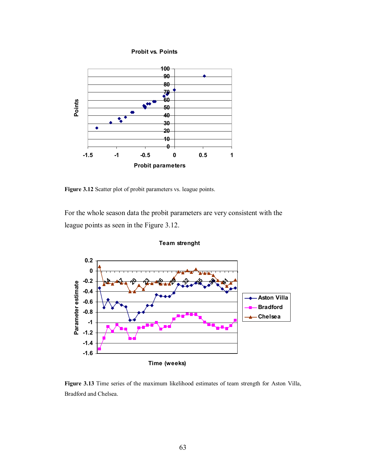**Probit vs. Points**



**Figure 3.12** Scatter plot of probit parameters vs. league points.

For the whole season data the probit parameters are very consistent with the league points as seen in the Figure 3.12.



**Team strenght**

**Figure 3.13** Time series of the maximum likelihood estimates of team strength for Aston Villa, Bradford and Chelsea.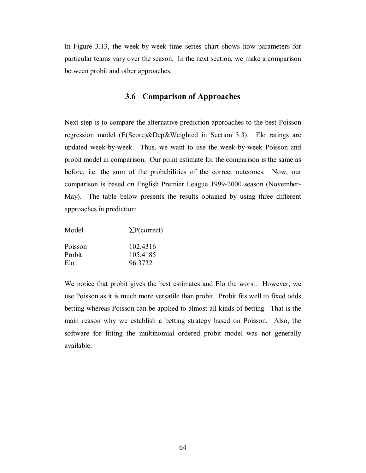In Figure 3.13, the week-by-week time series chart shows how parameters for particular teams vary over the season. In the next section, we make a comparison between probit and other approaches.

## **3.6 Comparison of Approaches**

Next step is to compare the alternative prediction approaches to the best Poisson regression model (E(Score)&Dep&Weighted in Section 3.3). Elo ratings are updated week-by-week. Thus, we want to use the week-by-week Poisson and probit model in comparison. Our point estimate for the comparison is the same as before, i.e. the sum of the probabilities of the correct outcomes. Now, our comparison is based on English Premier League 1999-2000 season (November-May). The table below presents the results obtained by using three different approaches in prediction:

| Model             | $\Sigma P$ (correct) |
|-------------------|----------------------|
| Poisson<br>Probit | 102.4316<br>105.4185 |
| Elo               | 96.3732              |

We notice that probit gives the best estimates and Elo the worst. However, we use Poisson as it is much more versatile than probit. Probit fits well to fixed odds betting whereas Poisson can be applied to almost all kinds of betting. That is the main reason why we establish a betting strategy based on Poisson. Also, the software for fitting the multinomial ordered probit model was not generally available.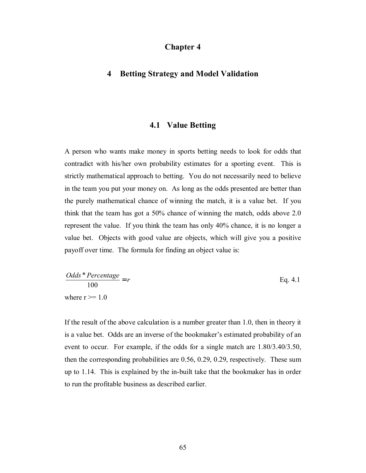# **Chapter 4**

## **4 Betting Strategy and Model Validation**

#### **4.1 Value Betting**

A person who wants make money in sports betting needs to look for odds that contradict with his/her own probability estimates for a sporting event. This is strictly mathematical approach to betting. You do not necessarily need to believe in the team you put your money on. As long as the odds presented are better than the purely mathematical chance of winning the match, it is a value bet. If you think that the team has got a 50% chance of winning the match, odds above 2.0 represent the value. If you think the team has only 40% chance, it is no longer a value bet. Objects with good value are objects, which will give you a positive payoff over time. The formula for finding an object value is:

$$
\frac{Odds * Percentage}{100} = r
$$
 Eq. 4.1  
where r >= 1.0

If the result of the above calculation is a number greater than 1.0, then in theory it is a value bet. Odds are an inverse of the bookmaker's estimated probability of an event to occur. For example, if the odds for a single match are 1.80/3.40/3.50, then the corresponding probabilities are 0.56, 0.29, 0.29, respectively. These sum up to 1.14. This is explained by the in-built take that the bookmaker has in order to run the profitable business as described earlier.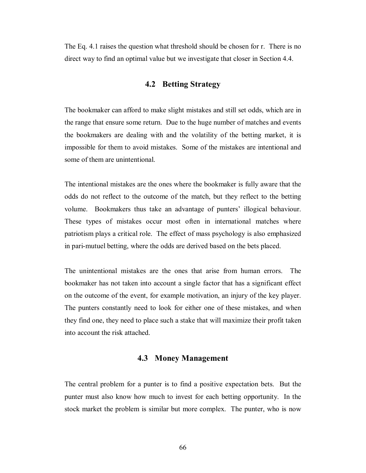The Eq. 4.1 raises the question what threshold should be chosen for r. There is no direct way to find an optimal value but we investigate that closer in Section 4.4.

## **4.2 Betting Strategy**

The bookmaker can afford to make slight mistakes and still set odds, which are in the range that ensure some return. Due to the huge number of matches and events the bookmakers are dealing with and the volatility of the betting market, it is impossible for them to avoid mistakes. Some of the mistakes are intentional and some of them are unintentional.

The intentional mistakes are the ones where the bookmaker is fully aware that the odds do not reflect to the outcome of the match, but they reflect to the betting volume. Bookmakers thus take an advantage of punters' illogical behaviour. These types of mistakes occur most often in international matches where patriotism plays a critical role. The effect of mass psychology is also emphasized in pari-mutuel betting, where the odds are derived based on the bets placed.

The unintentional mistakes are the ones that arise from human errors. The bookmaker has not taken into account a single factor that has a significant effect on the outcome of the event, for example motivation, an injury of the key player. The punters constantly need to look for either one of these mistakes, and when they find one, they need to place such a stake that will maximize their profit taken into account the risk attached.

## **4.3 Money Management**

The central problem for a punter is to find a positive expectation bets. But the punter must also know how much to invest for each betting opportunity. In the stock market the problem is similar but more complex. The punter, who is now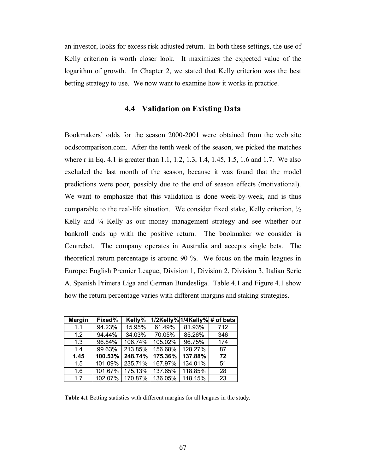an investor, looks for excess risk adjusted return. In both these settings, the use of Kelly criterion is worth closer look. It maximizes the expected value of the logarithm of growth. In Chapter 2, we stated that Kelly criterion was the best betting strategy to use. We now want to examine how it works in practice.

## **4.4 Validation on Existing Data**

Bookmakers' odds for the season 2000-2001 were obtained from the web site oddscomparison.com. After the tenth week of the season, we picked the matches where r in Eq. 4.1 is greater than 1.1, 1.2, 1.3, 1.4, 1.45, 1.5, 1.6 and 1.7. We also excluded the last month of the season, because it was found that the model predictions were poor, possibly due to the end of season effects (motivational). We want to emphasize that this validation is done week-by-week, and is thus comparable to the real-life situation. We consider fixed stake, Kelly criterion, ½ Kelly and  $\frac{1}{4}$  Kelly as our money management strategy and see whether our bankroll ends up with the positive return. The bookmaker we consider is Centrebet. The company operates in Australia and accepts single bets. The theoretical return percentage is around 90 %. We focus on the main leagues in Europe: English Premier League, Division 1, Division 2, Division 3, Italian Serie A, Spanish Primera Liga and German Bundesliga. Table 4.1 and Figure 4.1 show how the return percentage varies with different margins and staking strategies.

| <b>Margin</b> | Fixed%  | Kelly%  |         | 1/2Kelly% 1/4Kelly% # of bets |     |
|---------------|---------|---------|---------|-------------------------------|-----|
| 1.1           | 94.23%  | 15.95%  | 61.49%  | 81.93%                        | 712 |
| 1.2           | 94.44%  | 34.03%  | 70.05%  | 85.26%                        | 346 |
| 1.3           | 96.84%  | 106.74% | 105.02% | 96.75%                        | 174 |
| 1.4           | 99.63%  | 213.85% | 156.68% | 128.27%                       | 87  |
| 1.45          | 100.53% | 248.74% | 175.36% | 137.88%                       | 72  |
| 1.5           | 101.09% | 235.71% | 167.97% | 134.01%                       | 51  |
| 1.6           | 101.67% | 175.13% | 137.65% | 118.85%                       | 28  |
| 17            | 102.07% | 170.87% | 136.05% | 118.15%                       | 23  |

**Table 4.1** Betting statistics with different margins for all leagues in the study.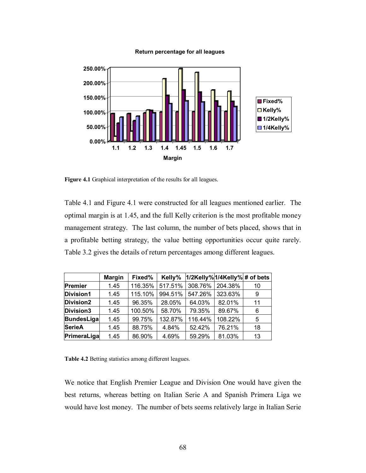#### **Return percentage for all leagues**



**Figure 4.1** Graphical interpretation of the results for all leagues.

Table 4.1 and Figure 4.1 were constructed for all leagues mentioned earlier. The optimal margin is at 1.45, and the full Kelly criterion is the most profitable money management strategy. The last column, the number of bets placed, shows that in a profitable betting strategy, the value betting opportunities occur quite rarely. Table 3.2 gives the details of return percentages among different leagues.

|                  | <b>Margin</b> | Fixed%  | Kelly%  | 1/2Kelly%1/4Kelly% # of bets |         |    |
|------------------|---------------|---------|---------|------------------------------|---------|----|
| Premier          | 1.45          | 116.35% | 517.51% | 308.76%                      | 204.38% | 10 |
| <b>Division1</b> | 1.45          | 115.10% | 994.51% | 547.26%                      | 323.63% | 9  |
| Division2        | 1.45          | 96.35%  | 28.05%  | 64.03%                       | 82.01%  | 11 |
| Division3        | 1.45          | 100.50% | 58.70%  | 79.35%                       | 89.67%  | 6  |
| BundesLiga       | 1.45          | 99.75%  | 132.87% | 116.44%                      | 108.22% | 5  |
| <b>SerieA</b>    | 1.45          | 88.75%  | 4.84%   | 52.42%                       | 76.21%  | 18 |
| PrimeraLiga      | 1.45          | 86.90%  | 4.69%   | 59.29%                       | 81.03%  | 13 |

**Table 4.2** Betting statistics among different leagues.

We notice that English Premier League and Division One would have given the best returns, whereas betting on Italian Serie A and Spanish Primera Liga we would have lost money. The number of bets seems relatively large in Italian Serie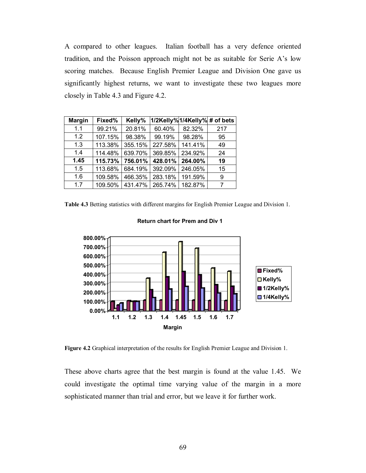A compared to other leagues. Italian football has a very defence oriented tradition, and the Poisson approach might not be as suitable for Serie A's low scoring matches. Because English Premier League and Division One gave us significantly highest returns, we want to investigate these two leagues more closely in Table 4.3 and Figure 4.2.

| <b>Margin</b> | Fixed%  | Kelly%  | 1/2Kelly%1/4Kelly% # of bets |         |     |
|---------------|---------|---------|------------------------------|---------|-----|
| 1.1           | 99.21%  | 20.81%  | 60.40%                       | 82.32%  | 217 |
| 1.2           | 107.15% | 98.38%  | 99.19%                       | 98.28%  | 95  |
| 1.3           | 113.38% | 355.15% | 227.58%                      | 141.41% | 49  |
| 1.4           | 114.48% | 639.70% | 369.85%                      | 234.92% | 24  |
| 1.45          | 115.73% | 756.01% | 428.01%                      | 264.00% | 19  |
| 1.5           | 113.68% | 684.19% | 392.09%                      | 246.05% | 15  |
| 1.6           | 109.58% | 466.35% | 283.18%                      | 191.59% | 9   |
| 1.7           | 109.50% | 431.47% | 265.74%                      | 182.87% | 7   |

**Table 4.3** Betting statistics with different margins for English Premier League and Division 1.



#### **Return chart for Prem and Div 1**

**Figure 4.2** Graphical interpretation of the results for English Premier League and Division 1.

These above charts agree that the best margin is found at the value 1.45. We could investigate the optimal time varying value of the margin in a more sophisticated manner than trial and error, but we leave it for further work.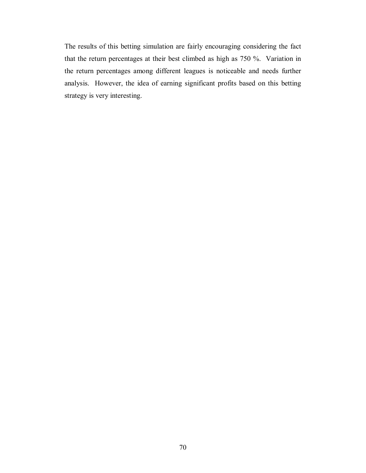The results of this betting simulation are fairly encouraging considering the fact that the return percentages at their best climbed as high as 750 %. Variation in the return percentages among different leagues is noticeable and needs further analysis. However, the idea of earning significant profits based on this betting strategy is very interesting.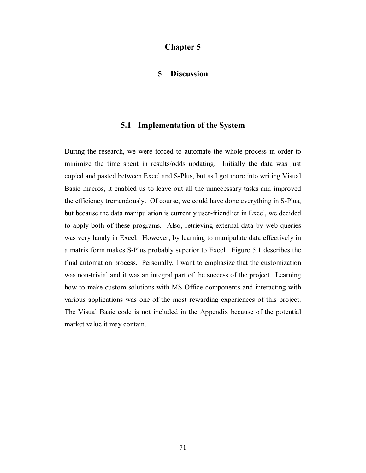## **Chapter 5**

#### **5 Discussion**

#### **5.1 Implementation of the System**

During the research, we were forced to automate the whole process in order to minimize the time spent in results/odds updating. Initially the data was just copied and pasted between Excel and S-Plus, but as I got more into writing Visual Basic macros, it enabled us to leave out all the unnecessary tasks and improved the efficiency tremendously. Of course, we could have done everything in S-Plus, but because the data manipulation is currently user-friendlier in Excel, we decided to apply both of these programs. Also, retrieving external data by web queries was very handy in Excel. However, by learning to manipulate data effectively in a matrix form makes S-Plus probably superior to Excel. Figure 5.1 describes the final automation process. Personally, I want to emphasize that the customization was non-trivial and it was an integral part of the success of the project. Learning how to make custom solutions with MS Office components and interacting with various applications was one of the most rewarding experiences of this project. The Visual Basic code is not included in the Appendix because of the potential market value it may contain.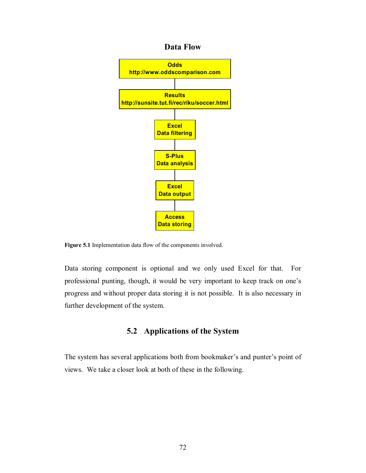#### **Data Flow**



**Figure 5.1** Implementation data flow of the components involved.

Data storing component is optional and we only used Excel for that. For professional punting, though, it would be very important to keep track on one's progress and without proper data storing it is not possible. It is also necessary in further development of the system.

## **5.2 Applications of the System**

The system has several applications both from bookmaker's and punter's point of views. We take a closer look at both of these in the following.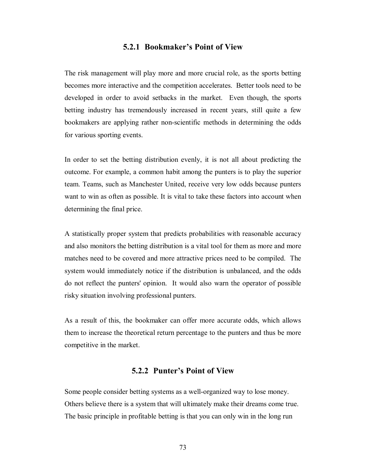#### **5.2.1 Bookmaker's Point of View**

The risk management will play more and more crucial role, as the sports betting becomes more interactive and the competition accelerates. Better tools need to be developed in order to avoid setbacks in the market. Even though, the sports betting industry has tremendously increased in recent years, still quite a few bookmakers are applying rather non-scientific methods in determining the odds for various sporting events.

In order to set the betting distribution evenly, it is not all about predicting the outcome. For example, a common habit among the punters is to play the superior team. Teams, such as Manchester United, receive very low odds because punters want to win as often as possible. It is vital to take these factors into account when determining the final price.

A statistically proper system that predicts probabilities with reasonable accuracy and also monitors the betting distribution is a vital tool for them as more and more matches need to be covered and more attractive prices need to be compiled. The system would immediately notice if the distribution is unbalanced, and the odds do not reflect the punters' opinion. It would also warn the operator of possible risky situation involving professional punters.

As a result of this, the bookmaker can offer more accurate odds, which allows them to increase the theoretical return percentage to the punters and thus be more competitive in the market.

#### **5.2.2 Punter's Point of View**

Some people consider betting systems as a well-organized way to lose money. Others believe there is a system that will ultimately make their dreams come true. The basic principle in profitable betting is that you can only win in the long run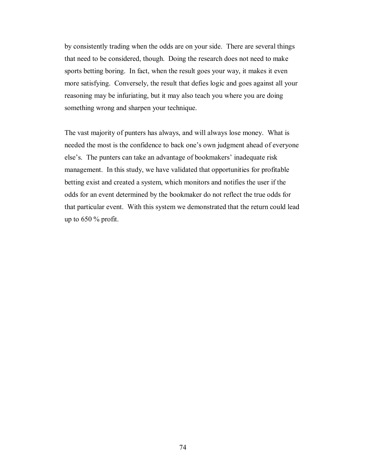by consistently trading when the odds are on your side. There are several things that need to be considered, though. Doing the research does not need to make sports betting boring. In fact, when the result goes your way, it makes it even more satisfying. Conversely, the result that defies logic and goes against all your reasoning may be infuriating, but it may also teach you where you are doing something wrong and sharpen your technique.

The vast majority of punters has always, and will always lose money. What is needed the most is the confidence to back one's own judgment ahead of everyone else's. The punters can take an advantage of bookmakers' inadequate risk management. In this study, we have validated that opportunities for profitable betting exist and created a system, which monitors and notifies the user if the odds for an event determined by the bookmaker do not reflect the true odds for that particular event. With this system we demonstrated that the return could lead up to  $650\%$  profit.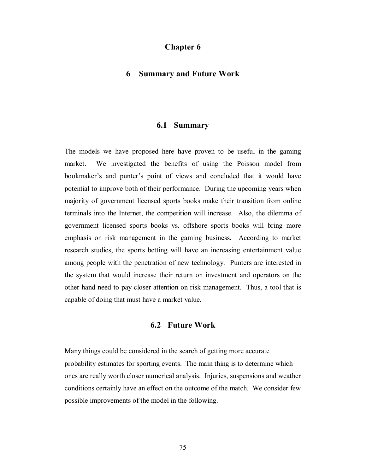#### **Chapter 6**

#### **6 Summary and Future Work**

#### **6.1 Summary**

The models we have proposed here have proven to be useful in the gaming market. We investigated the benefits of using the Poisson model from bookmaker's and punter's point of views and concluded that it would have potential to improve both of their performance. During the upcoming years when majority of government licensed sports books make their transition from online terminals into the Internet, the competition will increase. Also, the dilemma of government licensed sports books vs. offshore sports books will bring more emphasis on risk management in the gaming business. According to market research studies, the sports betting will have an increasing entertainment value among people with the penetration of new technology. Punters are interested in the system that would increase their return on investment and operators on the other hand need to pay closer attention on risk management. Thus, a tool that is capable of doing that must have a market value.

#### **6.2 Future Work**

Many things could be considered in the search of getting more accurate probability estimates for sporting events. The main thing is to determine which ones are really worth closer numerical analysis. Injuries, suspensions and weather conditions certainly have an effect on the outcome of the match. We consider few possible improvements of the model in the following.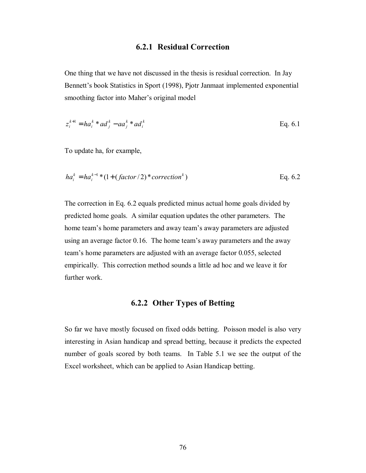#### **6.2.1 Residual Correction**

One thing that we have not discussed in the thesis is residual correction. In Jay Bennett's book Statistics in Sport (1998), Pjotr Janmaat implemented exponential smoothing factor into Maher's original model

$$
z_i^{k+1} = ha_i^k * ad_j^k - aa_j^k * ad_i^k
$$
 Eq. 6.1

To update ha, for example,

$$
ha_i^k = ha_i^{k-1} * (1 + (factor/2) * correction^k)
$$
 Eq. 6.2

The correction in Eq. 6.2 equals predicted minus actual home goals divided by predicted home goals. A similar equation updates the other parameters. The home team's home parameters and away team's away parameters are adjusted using an average factor 0.16. The home team's away parameters and the away team's home parameters are adjusted with an average factor 0.055, selected empirically. This correction method sounds a little ad hoc and we leave it for further work.

## **6.2.2 Other Types of Betting**

So far we have mostly focused on fixed odds betting. Poisson model is also very interesting in Asian handicap and spread betting, because it predicts the expected number of goals scored by both teams. In Table 5.1 we see the output of the Excel worksheet, which can be applied to Asian Handicap betting.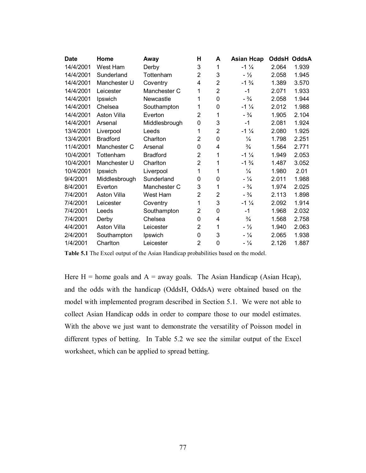| <b>Date</b> | Home               | Away            | н              | A              | <b>Asian Hcap</b> | <b>OddsH</b> | <b>OddsA</b> |
|-------------|--------------------|-----------------|----------------|----------------|-------------------|--------------|--------------|
| 14/4/2001   | West Ham           | Derby           | 3              | 1              | $-1\frac{1}{4}$   | 2.064        | 1.939        |
| 14/4/2001   | Sunderland         | Tottenham       | $\overline{2}$ | 3              | $-1/2$            | 2.058        | 1.945        |
| 14/4/2001   | Manchester U       | Coventry        | 4              | $\overline{2}$ | $-1\frac{3}{4}$   | 1.389        | 3.570        |
| 14/4/2001   | Leicester          | Manchester C    | 1              | $\overline{2}$ | $-1$              | 2.071        | 1.933        |
| 14/4/2001   | Ipswich            | Newcastle       | 1              | 0              | $- \frac{3}{4}$   | 2.058        | 1.944        |
| 14/4/2001   | Chelsea            | Southampton     | 1              | 0              | $-1\frac{1}{4}$   | 2.012        | 1.988        |
| 14/4/2001   | <b>Aston Villa</b> | Everton         | $\overline{2}$ | 1              | $- \frac{3}{4}$   | 1.905        | 2.104        |
| 14/4/2001   | Arsenal            | Middlesbrough   | 0              | 3              | $-1$              | 2.081        | 1.924        |
| 13/4/2001   | Liverpool          | Leeds           | 1              | $\overline{2}$ | $-1\frac{1}{4}$   | 2.080        | 1.925        |
| 13/4/2001   | <b>Bradford</b>    | Charlton        | 2              | 0              | $\frac{1}{4}$     | 1.798        | 2.251        |
| 11/4/2001   | Manchester C       | Arsenal         | 0              | 4              | $\frac{3}{4}$     | 1.564        | 2.771        |
| 10/4/2001   | Tottenham          | <b>Bradford</b> | 2              | 1              | $-1\frac{1}{4}$   | 1.949        | 2.053        |
| 10/4/2001   | Manchester U       | Charlton        | $\overline{2}$ | 1              | $-1\frac{3}{4}$   | 1.487        | 3.052        |
| 10/4/2001   | Ipswich            | Liverpool       | 1              | 1              | $\frac{1}{4}$     | 1.980        | 2.01         |
| 9/4/2001    | Middlesbrough      | Sunderland      | 0              | 0              | $-1/4$            | 2.011        | 1.988        |
| 8/4/2001    | Everton            | Manchester C    | 3              | 1              | $- \frac{3}{4}$   | 1.974        | 2.025        |
| 7/4/2001    | Aston Villa        | West Ham        | 2              | 2              | $- \frac{3}{4}$   | 2.113        | 1.898        |
| 7/4/2001    | Leicester          | Coventry        | 1              | 3              | $-1\frac{1}{4}$   | 2.092        | 1.914        |
| 7/4/2001    | Leeds              | Southampton     | 2              | 0              | $-1$              | 1.968        | 2.032        |
| 7/4/2001    | Derby              | Chelsea         | 0              | 4              | $\frac{3}{4}$     | 1.568        | 2.758        |
| 4/4/2001    | <b>Aston Villa</b> | Leicester       | $\overline{2}$ | 1              | $-1/2$            | 1.940        | 2.063        |
| 2/4/2001    | Southampton        | Ipswich         | 0              | 3              | $-1/4$            | 2.065        | 1.938        |
| 1/4/2001    | Charlton           | Leicester       | 2              | 0              | $- \frac{1}{4}$   | 2.126        | 1.887        |
|             |                    |                 |                |                |                   |              |              |

**Table 5.1** The Excel output of the Asian Handicap probabilities based on the model.

Here  $H =$  home goals and  $A =$  away goals. The Asian Handicap (Asian Hcap), and the odds with the handicap (OddsH, OddsA) were obtained based on the model with implemented program described in Section 5.1. We were not able to collect Asian Handicap odds in order to compare those to our model estimates. With the above we just want to demonstrate the versatility of Poisson model in different types of betting. In Table 5.2 we see the similar output of the Excel worksheet, which can be applied to spread betting.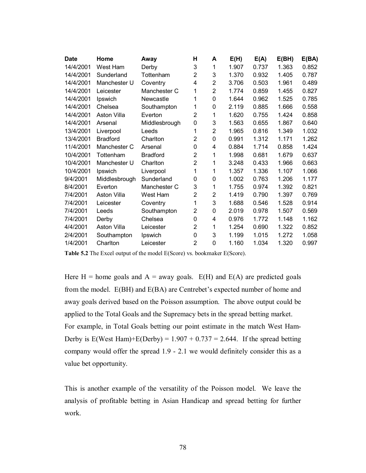| <b>Date</b> | Home               | Away            | н              | A              | E(H)  | E(A)  | E(BH) | E(BA) |
|-------------|--------------------|-----------------|----------------|----------------|-------|-------|-------|-------|
| 14/4/2001   | West Ham           | Derby           | 3              | 1              | 1.907 | 0.737 | 1.363 | 0.852 |
| 14/4/2001   | Sunderland         | Tottenham       | 2              | 3              | 1.370 | 0.932 | 1.405 | 0.787 |
| 14/4/2001   | Manchester U       | Coventry        | 4              | $\overline{2}$ | 3.706 | 0.503 | 1.961 | 0.489 |
| 14/4/2001   | Leicester          | Manchester C    | 1              | $\overline{2}$ | 1.774 | 0.859 | 1.455 | 0.827 |
| 14/4/2001   | Ipswich            | Newcastle       | 1              | 0              | 1.644 | 0.962 | 1.525 | 0.785 |
| 14/4/2001   | Chelsea            | Southampton     | 1              | 0              | 2.119 | 0.885 | 1.666 | 0.558 |
| 14/4/2001   | Aston Villa        | Everton         | $\overline{2}$ | 1              | 1.620 | 0.755 | 1.424 | 0.858 |
| 14/4/2001   | Arsenal            | Middlesbrough   | 0              | 3              | 1.563 | 0.655 | 1.867 | 0.640 |
| 13/4/2001   | Liverpool          | Leeds           | 1              | $\overline{2}$ | 1.965 | 0.816 | 1.349 | 1.032 |
| 13/4/2001   | <b>Bradford</b>    | Charlton        | 2              | 0              | 0.991 | 1.312 | 1.171 | 1.262 |
| 11/4/2001   | Manchester C       | Arsenal         | 0              | 4              | 0.884 | 1.714 | 0.858 | 1.424 |
| 10/4/2001   | Tottenham          | <b>Bradford</b> | 2              | 1              | 1.998 | 0.681 | 1.679 | 0.637 |
| 10/4/2001   | Manchester U       | Charlton        | $\overline{2}$ | 1              | 3.248 | 0.433 | 1.966 | 0.663 |
| 10/4/2001   | Ipswich            | Liverpool       | 1              | 1              | 1.357 | 1.336 | 1.107 | 1.066 |
| 9/4/2001    | Middlesbrough      | Sunderland      | 0              | 0              | 1.002 | 0.763 | 1.206 | 1.177 |
| 8/4/2001    | Everton            | Manchester C    | 3              | 1              | 1.755 | 0.974 | 1.392 | 0.821 |
| 7/4/2001    | <b>Aston Villa</b> | West Ham        | $\overline{2}$ | $\overline{2}$ | 1.419 | 0.790 | 1.397 | 0.769 |
| 7/4/2001    | Leicester          | Coventry        | 1              | 3              | 1.688 | 0.546 | 1.528 | 0.914 |
| 7/4/2001    | Leeds              | Southampton     | $\overline{2}$ | 0              | 2.019 | 0.978 | 1.507 | 0.569 |
| 7/4/2001    | Derby              | Chelsea         | 0              | 4              | 0.976 | 1.772 | 1.148 | 1.162 |
| 4/4/2001    | Aston Villa        | Leicester       | 2              | 1              | 1.254 | 0.690 | 1.322 | 0.852 |
| 2/4/2001    | Southampton        | Ipswich         | 0              | 3              | 1.199 | 1.015 | 1.272 | 1.058 |
| 1/4/2001    | Charlton           | Leicester       | 2              | 0              | 1.160 | 1.034 | 1.320 | 0.997 |

**Table 5.2** The Excel output of the model E(Score) vs. bookmaker E(Score).

Here  $H =$  home goals and  $A =$  away goals.  $E(H)$  and  $E(A)$  are predicted goals from the model. E(BH) and E(BA) are Centrebet's expected number of home and away goals derived based on the Poisson assumption. The above output could be applied to the Total Goals and the Supremacy bets in the spread betting market. For example, in Total Goals betting our point estimate in the match West Ham-Derby is  $E(West Ham) + E(Derby) = 1.907 + 0.737 = 2.644$ . If the spread betting company would offer the spread 1.9 - 2.1 we would definitely consider this as a value bet opportunity.

This is another example of the versatility of the Poisson model. We leave the analysis of profitable betting in Asian Handicap and spread betting for further work.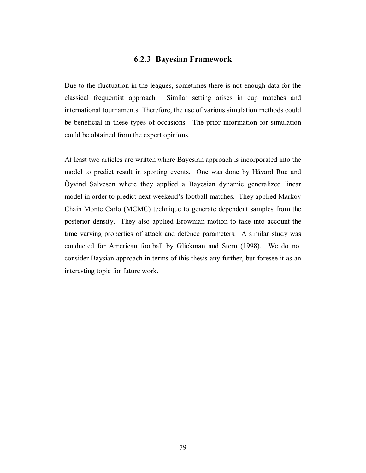### **6.2.3 Bayesian Framework**

Due to the fluctuation in the leagues, sometimes there is not enough data for the classical frequentist approach. Similar setting arises in cup matches and international tournaments. Therefore, the use of various simulation methods could be beneficial in these types of occasions. The prior information for simulation could be obtained from the expert opinions.

At least two articles are written where Bayesian approach is incorporated into the model to predict result in sporting events. One was done by Håvard Rue and Öyvind Salvesen where they applied a Bayesian dynamic generalized linear model in order to predict next weekend's football matches. They applied Markov Chain Monte Carlo (MCMC) technique to generate dependent samples from the posterior density. They also applied Brownian motion to take into account the time varying properties of attack and defence parameters. A similar study was conducted for American football by Glickman and Stern (1998). We do not consider Baysian approach in terms of this thesis any further, but foresee it as an interesting topic for future work.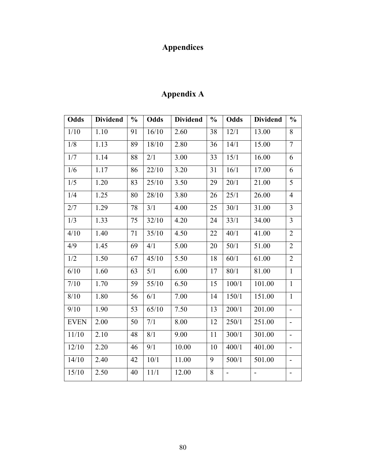# **Appendices**

| <b>Appendix A</b> |
|-------------------|
|-------------------|

| <b>Odds</b> | <b>Dividend</b> | $\frac{6}{6}$ | Odds  | <b>Dividend</b> | $\frac{6}{6}$ | Odds           | <b>Dividend</b>          | $\frac{0}{0}$                |
|-------------|-----------------|---------------|-------|-----------------|---------------|----------------|--------------------------|------------------------------|
| 1/10        | 1.10            | 91            | 16/10 | 2.60            | 38            | 12/1           | 13.00                    | 8                            |
| 1/8         | 1.13            | 89            | 18/10 | 2.80            | 36            | 14/1           | 15.00                    | $\overline{7}$               |
| 1/7         | 1.14            | 88            | 2/1   | 3.00            | 33            | 15/1           | 16.00                    | 6                            |
| 1/6         | 1.17            | 86            | 22/10 | 3.20            | 31            | 16/1           | 17.00                    | 6                            |
| 1/5         | 1.20            | 83            | 25/10 | 3.50            | 29            | 20/1           | 21.00                    | 5                            |
| 1/4         | 1.25            | 80            | 28/10 | 3.80            | 26            | 25/1           | 26.00                    | $\overline{4}$               |
| 2/7         | 1.29            | 78            | 3/1   | 4.00            | 25            | 30/1           | 31.00                    | $\overline{3}$               |
| 1/3         | 1.33            | 75            | 32/10 | 4.20            | 24            | 33/1           | 34.00                    | $\overline{3}$               |
| 4/10        | 1.40            | 71            | 35/10 | 4.50            | 22            | 40/1           | 41.00                    | $\overline{2}$               |
| 4/9         | 1.45            | 69            | 4/1   | 5.00            | 20            | 50/1           | 51.00                    | $\overline{2}$               |
| 1/2         | 1.50            | 67            | 45/10 | 5.50            | 18            | 60/1           | 61.00                    | $\overline{2}$               |
| 6/10        | 1.60            | 63            | 5/1   | 6.00            | 17            | 80/1           | 81.00                    | $\mathbf{1}$                 |
| 7/10        | 1.70            | 59            | 55/10 | 6.50            | 15            | 100/1          | 101.00                   | $\mathbf{1}$                 |
| 8/10        | 1.80            | 56            | 6/1   | 7.00            | 14            | 150/1          | 151.00                   | $\mathbf{1}$                 |
| 9/10        | 1.90            | 53            | 65/10 | 7.50            | 13            | 200/1          | 201.00                   | $\overline{\phantom{a}}$     |
| <b>EVEN</b> | 2.00            | 50            | 7/1   | 8.00            | 12            | 250/1          | 251.00                   | $\overline{\phantom{0}}$     |
| 11/10       | 2.10            | 48            | 8/1   | 9.00            | 11            | 300/1          | 301.00                   | $\overline{\phantom{0}}$     |
| 12/10       | 2.20            | 46            | 9/1   | 10.00           | 10            | 400/1          | 401.00                   | $\overline{\phantom{0}}$     |
| 14/10       | 2.40            | 42            | 10/1  | 11.00           | 9             | 500/1          | 501.00                   | $\qquad \qquad \blacksquare$ |
| 15/10       | 2.50            | 40            | 11/1  | 12.00           | 8             | $\overline{a}$ | $\overline{\phantom{0}}$ | $\overline{\phantom{a}}$     |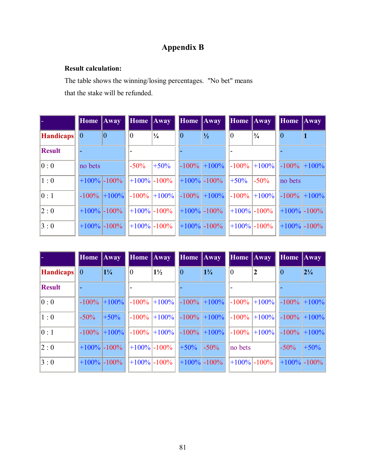## **Appendix B**

### **Result calculation:**

The table shows the winning/losing percentages. "No bet" means that the stake will be refunded.

|                  | <b>Home Away</b>  | <b>Home</b> Away |                 | <b>Home</b> Away |                 | <b>Home</b> Away |                 | <b>Home Away</b> |                  |
|------------------|-------------------|------------------|-----------------|------------------|-----------------|------------------|-----------------|------------------|------------------|
| <b>Handicaps</b> | 0 <br>$ 0\rangle$ | $\overline{0}$   | $\frac{1}{4}$   | $\theta$         | $\frac{1}{2}$   | $\vert 0 \vert$  | $\frac{3}{4}$   |                  |                  |
| <b>Result</b>    |                   |                  |                 |                  |                 |                  |                 |                  |                  |
| 0:0              | no bets           | $-50\%$          | $+50%$          |                  | $-100\%$ +100%  | $-100\%$         | $+100%$         | $-100\%$         | $ +100\% $       |
| 1:0              | $+100\%$ - 100%   |                  | $+100\%$ - 100% |                  | $+100\%$ - 100% | $+50%$           | $-50\%$         | no bets          |                  |
| 0:1              | $-100\%$ +100%    |                  | $-100\%$ +100%  |                  | $-100\%$ +100%  | $-100%$          | $ +100\% $      | $-100\%$         | $+100%$          |
| 2:0              | $+100\%$ - 100%   |                  | $+100\%$ - 100% |                  | $+100\%$ - 100% |                  | $+100\%$ - 100% |                  | $ +100\% $ -100% |
| 3:0              | $+100\%$ - 100%   |                  | $+100\%$ - 100% |                  | $+100\%$ - 100% |                  | $+100\%$ - 100% |                  | $+100\%$ - 100%  |

|                  | <b>Home</b> Away |                 | Home Away      |                  | Home Away       |                |          | <b>Home</b> Away                                                                      | Home $\ Away\ $ |                  |
|------------------|------------------|-----------------|----------------|------------------|-----------------|----------------|----------|---------------------------------------------------------------------------------------|-----------------|------------------|
| <b>Handicaps</b> | $\overline{0}$   | $1\frac{1}{4}$  | $\overline{0}$ | $1\frac{1}{2}$   | $ 0\rangle$     | $1\frac{3}{4}$ | $\theta$ | $\overline{\mathbf{2}}$                                                               |                 | $2^{1/4}$        |
| <b>Result</b>    |                  |                 |                |                  |                 |                |          |                                                                                       |                 |                  |
| 0:0              |                  | $-100\%$ +100%  |                |                  |                 |                |          | $\vert -100\% \vert +100\% \vert -100\% \vert +100\% \vert -100\% \vert +100\% \vert$ | $-100%$         | $+100%$          |
| 1:0              | $-50\%$          | $+50\%$         |                | $-100\%$ +100%   | $-100\%$        | $ +100\% $     | $-100%$  | $+100%$                                                                               | $-100\%$        | $+100%$          |
| 0:1              |                  | $-100\%$ +100%  |                | $-100\%$ +100%   |                 | $-100\%$ +100% | $-100\%$ | $+100%$                                                                               | $-100%$         | $+100%$          |
| 2:0              |                  | $+100\%$ - 100% |                | $ +100\% $ -100% | $+50%$          | $-50\%$        | no bets  |                                                                                       | $-50\%$         | $+50\%$          |
| 3:0              |                  | $+100\%$ - 100% |                | $+100\%$ - 100%  | $+100\%$ - 100% |                |          | $+100\%$ - 100%                                                                       |                 | $ +100\% $ -100% |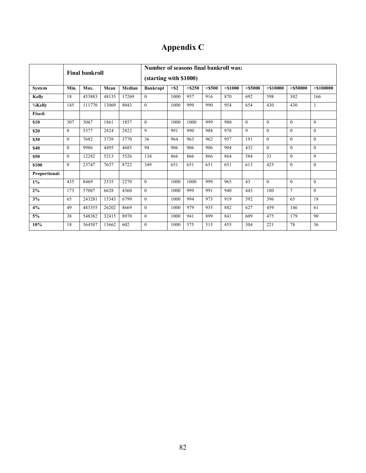# **Appendix C**

|                       | <b>Final bankroll</b> |        |       |        | Number of seasons final bankroll was:<br>(starting with \$1000) |         |         |           |          |            |              |                |              |
|-----------------------|-----------------------|--------|-------|--------|-----------------------------------------------------------------|---------|---------|-----------|----------|------------|--------------|----------------|--------------|
| System                | Min.                  | Max.   | Mean  | Median | <b>Bankrupt</b>                                                 | $>$ \$2 | > \$250 | $>$ \$500 | > \$1000 | $>$ \$5000 | > \$10000    | $>$ \$50000    | > \$100000   |
| <b>Kelly</b>          | 18                    | 453883 | 48135 | 17269  | $\mathbf{0}$                                                    | 1000    | 957     | 916       | 870      | 692        | 598          | 302            | 166          |
| 1/ <sub>2</sub> Kelly | 145                   | 111770 | 13069 | 8043   | $\mathbf{0}$                                                    | 1000    | 999     | 990       | 954      | 654        | 430          | 430            | 1            |
| Fixed:                |                       |        |       |        |                                                                 |         |         |           |          |            |              |                |              |
| \$10                  | 307                   | 3067   | 1861  | 1857   | $\mathbf{0}$                                                    | 1000    | 1000    | 999       | 980      | $\theta$   | $\mathbf{0}$ | $\theta$       | $\theta$     |
| \$20                  | $\theta$              | 5377   | 2824  | 2822   | 9                                                               | 991     | 990     | 988       | 978      | 9          | $\mathbf{0}$ | $\theta$       | $\theta$     |
| \$30                  | $\theta$              | 7682   | 3739  | 3770   | 36                                                              | 964     | 963     | 962       | 957      | 191        | $\theta$     | $\theta$       | $\theta$     |
| \$40                  | $\theta$              | 9986   | 4495  | 4685   | 94                                                              | 906     | 906     | 906       | 904      | 432        | $\theta$     | $\theta$       | $\theta$     |
| \$50                  | $\theta$              | 12282  | 5213  | 5526   | 134                                                             | 866     | 866     | 866       | 864      | 584        | 33           | $\theta$       | $\theta$     |
| \$100                 | $\theta$              | 23747  | 7637  | 8722   | 349                                                             | 651     | 651     | 651       | 651      | 613        | 425          | $\theta$       | $\theta$     |
| Proportional:         |                       |        |       |        |                                                                 |         |         |           |          |            |              |                |              |
| $1\%$                 | 435                   | 8469   | 2535  | 2270   | $\theta$                                                        | 1000    | 1000    | 999       | 965      | 43         | $\theta$     | $\theta$       | $\theta$     |
| $2\%$                 | 173                   | 57087  | 6628  | 4360   | $\mathbf{0}$                                                    | 1000    | 999     | 991       | 940      | 443        | 180          | $\overline{7}$ | $\mathbf{0}$ |
| 3%                    | 65                    | 243281 | 15343 | 6799   | $\mathbf{0}$                                                    | 1000    | 994     | 973       | 919      | 592        | 396          | 65             | 18           |
| 4%                    | 49                    | 483355 | 26202 | 8669   | $\Omega$                                                        | 1000    | 979     | 935       | 882      | 627        | 459          | 146            | 61           |
| 5%                    | 38                    | 548382 | 32415 | 8970   | $\mathbf{0}$                                                    | 1000    | 941     | 899       | 841      | 609        | 475          | 179            | 90           |
| 10%                   | 18                    | 364587 | 13662 | 602    | $\mathbf{0}$                                                    | 1000    | 575     | 515       | 455      | 304        | 221          | 78             | 36           |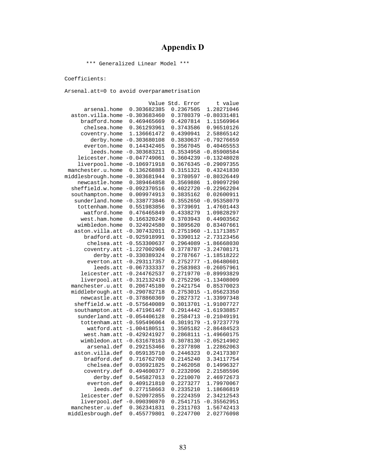## **Appendix D**

\*\*\* Generalized Linear Model \*\*\*

Coefficients:

|                    | Value          | Std. Error | t value       |
|--------------------|----------------|------------|---------------|
| arsenal.home       | 0.303682385    | 0.2367505  | 1.28271046    |
| aston.villa.home   | $-0.303683460$ | 0.3780379  | $-0.80331481$ |
| bradford.home      | 0.469465669    | 0.4207814  | 1.11569964    |
| chelsea.home       | 0.361293961    | 0.3743586  | 0.96510126    |
| coventry.home      | 1.136661472    | 0.4390941  | 2.58865142    |
| derby.home         | $-0.303680108$ | 0.3830637  | $-0.79276659$ |
| everton.home       | 0.144342465    | 0.3567045  | 0.40465553    |
| leeds.home         | $-0.303683211$ | 0.3534958  | $-0.85908584$ |
| leicester.home     | $-0.047749061$ | 0.3604239  | $-0.13248028$ |
| liverpool.home     | $-0.106971918$ | 0.3676345  | $-0.29097355$ |
| manchester.u.home  | 0.136268883    | 0.3151321  | 0.43241830    |
| middlesbrough.home | $-0.303681944$ | 0.3780597  | $-0.80326449$ |
| newcastle.home     | 0.389464858    | 0.3569886  | 1.09097290    |
| sheffield.w.home   | $-0.092370516$ | 0.4022720  | $-0.22962204$ |
| southampton.home   | 0.009974913    | 0.3835162  | 0.02600911    |
| sunderland.home    | $-0.338773846$ | 0.3552650  | $-0.95358079$ |
| tottenham.home     | 0.551983856    | 0.3739691  | 1.47601443    |
| watford.home       | 0.476465849    | 0.4338279  | 1.09828297    |
| west.ham.home      | 0.166320249    | 0.3703943  | 0.44903562    |
| wimbledon.home     | 0.324924580    | 0.3895620  | 0.83407661    |
| aston.villa.att    | $-0.307432011$ | 0.2751960  | $-1.11713857$ |
| bradford.att       | $-0.925918991$ | 0.3390112  | $-2.73123456$ |
| chelsea.att        | $-0.553300637$ | 0.2964089  | $-1.86668030$ |
| coventry.att       | $-1.227002906$ | 0.3778787  | $-3.24708171$ |
| derby.att          | $-0.330389324$ | 0.2787667  | $-1.18518222$ |
| everton.att        | $-0.293117357$ | 0.2752777  | $-1.06480601$ |
| leeds.att          | $-0.067333337$ | 0.2583983  | $-0.26057961$ |
| leicester.att      | $-0.244762537$ | 0.2719770  | $-0.89993829$ |
| liverpool.att      | $-0.312132419$ | 0.2752296  | $-1.13408009$ |
| manchester.u.att   | 0.206745180    | 0.2421754  | 0.85370023    |
| middlebrough.att   | $-0.290782718$ | 0.2753015  | $-1.05623350$ |
| newcastle.att      | $-0.378860369$ | 0.2827372  | $-1.33997348$ |
| sheffield.w.att    | $-0.575640089$ | 0.3013701  | $-1.91007727$ |
| southampton.att    | $-0.471961467$ | 0.2914442  | $-1.61938857$ |
| sunderland.att     | $-0.054406128$ | 0.2584713  | $-0.21049191$ |
| tottenham.att      | $-0.595496064$ | 0.3019179  | $-1.97237779$ |
| watford.att        | $-1.004180511$ | 0.3505182  | $-2.86484523$ |
| west.ham.att       | $-0.429241927$ | 0.2868111  | $-1.49660175$ |
| wimbledon.att      | $-0.631678163$ | 0.3078130  | $-2.05214902$ |
| arsenal.def        | 0.292153466    | 0.2377898  | 1.22862063    |
| aston.villa.def    | 0.059135710    | 0.2446323  | 0.24173307    |
| bradford.def       | 0.716762700    | 0.2145240  | 3.34117754    |
| chelsea.def        | 0.036921825    | 0.2462058  | 0.14996327    |
| coventry.def       | 0.494600377    | 0.2232096  | 2.21585596    |
| derby.def          | 0.545827013    | 0.2210070  | 2.46972673    |
| everton.def        | 0.409121810    | 0.2273277  | 1.79970067    |
| leeds.def          | 0.277158663    | 0.2335210  | 1.18686819    |
| leicester.def      | 0.520972855    | 0.2224359  | 2.34212543    |
| liverpool.def      | $-0.090390870$ | 0.2541715  | $-0.35562951$ |
| manchester.u.def   | 0.362341831    | 0.2311703  | 1.56742413    |
| middlesbrough.def  | 0.455779801    | 0.2247700  | 2.02776098    |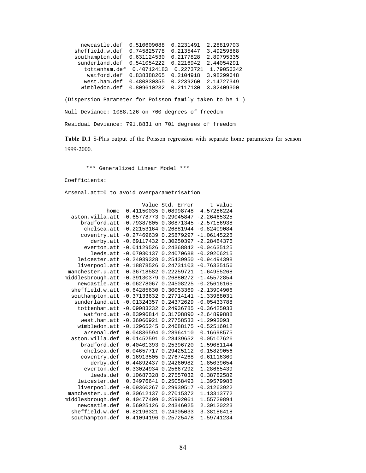| newcastle.def             | 0.510609088 | 0.2231491 | 2.28819703 |
|---------------------------|-------------|-----------|------------|
| sheffield.w.def           | 0.745825778 | 0.2135447 | 3.49259868 |
| southampton.def           | 0.631124530 | 0.2177828 | 2.89795335 |
| sunderland.def            | 0.541054222 | 0.2216942 | 2.44054291 |
| tottenham.def 0.407124183 |             | 0.2273721 | 1.79056342 |
| watford.def               | 0.838388265 | 0.2104918 | 3.98299648 |
| west.ham.def              | 0.480830355 | 0.2239260 | 2.14727349 |
| wimbledon.def             | 0.809610232 | 0.2117130 | 3.82409300 |

(Dispersion Parameter for Poisson family taken to be 1 ) Null Deviance: 1088.126 on 760 degrees of freedom Residual Deviance: 791.8831 on 701 degrees of freedom

**Table D.1** S-Plus output of the Poisson regression with separate home parameters for season 1999-2000.

\*\*\* Generalized Linear Model \*\*\*

Coefficients:

|                   | Value         | Std. Error | t value       |
|-------------------|---------------|------------|---------------|
| home              | 0.41150035    | 0.08998748 | 4.57286224    |
| aston.villa.att   | $-0.65778773$ | 0.29045847 | $-2.26465325$ |
| bradford.att      | $-0.79387805$ | 0.30871345 | $-2.57156938$ |
| chelsea.att       | $-0.22153164$ | 0.26881944 | $-0.82409084$ |
| coventry.att      | $-0.27469639$ | 0.25879297 | $-1.06145228$ |
| derby.att         | $-0.69117432$ | 0.30250397 | $-2.28484376$ |
| everton.att       | $-0.01129526$ | 0.24368842 | $-0.04635125$ |
| leeds.att         | $-0.07030137$ | 0.24070688 | $-0.29206215$ |
| leicester.att     | $-0.24039328$ | 0.25439950 | $-0.94494398$ |
| liverpool.att     | $-0.18878526$ | 0.24731103 | $-0.76335156$ |
| manchester.u.att  | 0.36718582    | 0.22259721 | 1.64955268    |
| middlesbrough.att | $-0.39130379$ | 0.26880272 | $-1.45572854$ |
| newcastle.att     | $-0.06278067$ | 0.24508225 | $-0.25616165$ |
| sheffield.w.att   | $-0.64285630$ | 0.30053369 | $-2.13904906$ |
| southampton.att   | $-0.37133632$ | 0.27714141 | $-1.33988031$ |
| sunderland.att    | $-0.01324357$ | 0.24372629 | $-0.05433788$ |
| tottenham.att     | $-0.09083232$ | 0.24936785 | $-0.36425033$ |
| watford.att       | $-0.83996814$ | 0.31708890 | $-2.64899888$ |
| west.ham.att      | $-0.36066921$ | 0.27758533 | $-1.2993093$  |
| wimbledon.att     | $-0.12965245$ | 0.24688175 | $-0.52516012$ |
| arsenal.def       | 0.04836594    | 0.28964110 | 0.16698575    |
| aston.villa.def   | 0.01452591    | 0.28439652 | 0.05107626    |
| bradford.def      | 0.40401393    | 0.25396720 | 1.59081144    |
| chelsea.def       | 0.04657717    | 0.29425112 | 0.15829056    |
| coventry.def      | 0.16913505    | 0.27674268 | 0.61116360    |
| derby.def         | 0.44892437    | 0.24260982 | 1.85039654    |
| everton.def       | 0.33024934    | 0.25667292 | 1.28665439    |
| leeds.def         | 0.10687328    | 0.27557032 | 0.38782582    |
| leicester.def     | 0.34976641    | 0.25058493 | 1.39579988    |
| liverpool.def     | $-0.09360267$ | 0.29939517 | $-0.31263922$ |
| manchester.u.def  | 0.30612137    | 0.27015372 | 1.13313772    |
| middlesbrough.def | 0.40477409    | 0.25992061 | 1.55729894    |
| newcastle.def     | 0.56025126    | 0.24346025 | 2.30120223    |
| sheffield.w.def   | 0.82196321    | 0.24305033 | 3.38186418    |
| southampton.def   | 0.41094196    | 0.25725478 | 1.59741234    |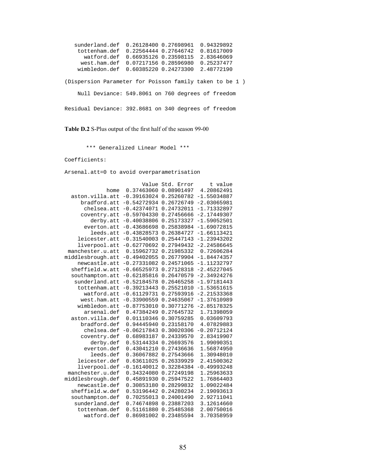| sunderland.def | 0.94329892<br>0.26128400 0.27698961                     |  |
|----------------|---------------------------------------------------------|--|
| tottenham.def  | 0.81617009<br>0.22564444 0.27646742                     |  |
| watford.def    | 0.66935126 0.23598115<br>2.83646069                     |  |
| west.ham.def   | 0.07217156 0.28596980<br>0.25237477                     |  |
| wimbledon.def  | 2.48772190<br>0.60385220 0.24273300                     |  |
|                | (Dispersion Parameter for Poisson family taken to be 1) |  |
|                | Null Deviance: 549.8061 on 760 degrees of freedom       |  |
|                | Residual Deviance: 392.8681 on 340 degrees of freedom   |  |

**Table D.2** S-Plus output of the first half of the season 99-00

\*\*\* Generalized Linear Model \*\*\*

Coefficients:

|                   | Value         | Std. Error | t value       |
|-------------------|---------------|------------|---------------|
| home              | 0.37463060    | 0.08901497 | 4.20862491    |
| aston.villa.att   | $-0.39163024$ | 0.25260782 | $-1.55034887$ |
| bradford.att      | $-0.54272934$ | 0.26726749 | $-2.03065981$ |
| chelsea.att       | $-0.42374071$ | 0.24732011 | $-1.71332897$ |
| coventry.att      | $-0.59704330$ | 0.27456666 | $-2.17449307$ |
| derby.att         | $-0.40038806$ | 0.25173327 | $-1.59052501$ |
| everton.att       | $-0.43686698$ | 0.25838984 | $-1.69072815$ |
| leeds.att         | $-0.43828573$ | 0.26384727 | $-1.66113421$ |
| leicester.att     | $-0.31540003$ | 0.25447143 | $-1.23943202$ |
| liverpool.att     | $-0.62770692$ | 0.27949432 | $-2.24586645$ |
| manchester.u.att  | 0.15962732    | 0.21985332 | 0.72606284    |
| middlesbrough.att | $-0.49402055$ | 0.26779904 | $-1.84474357$ |
| newcastle.att     | $-0.27331082$ | 0.24571065 | $-1.11232797$ |
| sheffield.w.att   | $-0.66525973$ | 0.27128318 | $-2.45227045$ |
| southampton.att   | $-0.62185816$ | 0.26470579 | $-2.34924276$ |
| sunderland.att    | $-0.52184578$ | 0.26465258 | $-1.97181443$ |
| tottenham.att     | $-0.39213443$ | 0.25521010 | $-1.53651615$ |
| watford.att       | $-0.61129731$ | 0.27593916 | $-2.21533368$ |
| west.ham.att      | $-0.33900559$ | 0.24635067 | $-1.37610989$ |
| wimbledon.att     | $-0.87753010$ | 0.30771276 | $-2.85178325$ |
| arsenal.def       | 0.47384249    | 0.27645732 | 1.71398059    |
| aston.villa.def   | 0.01110346    | 0.30759285 | 0.03609793    |
| bradford.def      | 0.94445940    | 0.23158170 | 4.07829883    |
| chelsea.def       | $-0.06217843$ | 0.30020306 | $-0.20712124$ |
| coventry.def      | 0.68983187    | 0.24339570 | 2.83419907    |
| derby.def         | 0.53144334    | 0.26693576 | 1.99090351    |
| everton.def       | 0.43041210    | 0.27436636 | 1.56874950    |
| leeds.def         | 0.36067882    | 0.27543666 | 1.30948010    |
| leicester.def     | 0.63611025    | 0.26339929 | 2.41500362    |
| liverpool.def     | $-0.16140012$ | 0.32284384 | $-0.49993248$ |
| manchester.u.def  | 0.34324080    | 0.27249198 | 1.25963633    |
| middlesbrough.def | 0.45891930    | 0.25947522 | 1.76864403    |
| newcastle.def     | 0.30853180    | 0.28299832 | 1.09022484    |
| sheffield.w.def   | 0.53196442    | 0.24280234 | 2.19093613    |
| southampton.def   | 0.70255013    | 0.24001490 | 2.92711041    |
| sunderland.def    | 0.74674898    | 0.23887203 | 3.12614660    |
| tottenham.def     | 0.51161880    | 0.25485368 | 2.00750016    |
| watford.def       | 0.86981002    | 0.23485594 | 3.70358959    |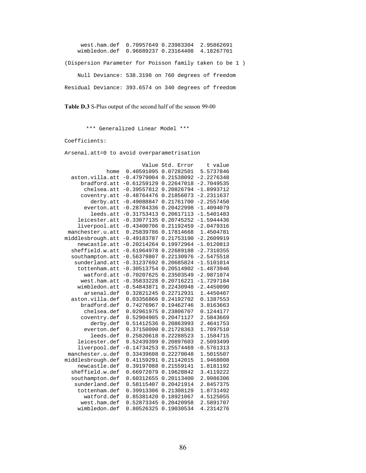west.ham.def 0.70957649 0.23983304 2.95862691 wimbledon.def 0.96889237 0.23164408 4.18267701 (Dispersion Parameter for Poisson family taken to be 1 ) Null Deviance: 538.3198 on 760 degrees of freedom Residual Deviance: 393.6574 on 340 degrees of freedom

**Table D.3** S-Plus output of the second half of the season 99-00

\*\*\* Generalized Linear Model \*\*\*

Coefficients:

|                   | Value         | Std. Error | t value      |
|-------------------|---------------|------------|--------------|
| home              | 0.40591095    | 0.07282501 | 5.5737846    |
| aston.villa.att   | $-0.47979004$ | 0.21538092 | $-2.2276348$ |
| bradford.att      | $-0.61259129$ | 0.22647018 | $-2.7049535$ |
| chelsea.att       | $-0.39557812$ | 0.20826794 | $-1.8993712$ |
| coventry.att      | $-0.48764476$ | 0.21856073 | $-2.2311637$ |
| derby.att         | $-0.49088847$ | 0.21761700 | $-2.2557450$ |
| everton.att       | $-0.28784336$ | 0.20422998 | $-1.4094079$ |
| leeds.att         | $-0.31753413$ | 0.20617113 | $-1.5401483$ |
| leicester.att     | $-0.33077135$ | 0.20745252 | $-1.5944436$ |
| liverpool.att     | $-0.43400706$ | 0.21192459 | $-2.0479316$ |
| manchester.u.att  | 0.25839786    | 0.17814668 | 1.4504781    |
| middlesbrough.att | $-0.49183787$ | 0.21753190 | $-2.2609919$ |
| newcastle.att     | $-0.20214264$ | 0.19972964 | $-1.0120813$ |
| sheffield.w.att   | $-0.61964978$ | 0.22689188 | $-2.7310355$ |
| southampton.att   | $-0.56379807$ | 0.22130976 | $-2.5475518$ |
| sunderland.att    | $-0.31237692$ | 0.20685824 | $-1.5101014$ |
| tottenham.att     | $-0.30513754$ | 0.20514902 | $-1.4873946$ |
| watford.att       | $-0.70207625$ | 0.23503549 | $-2.9871074$ |
| west.ham.att      | $-0.35833228$ | 0.20716221 | $-1.7297184$ |
| wimbledon.att     | $-0.54843871$ | 0.22430948 | $-2.4450090$ |
| arsenal.def       | 0.32821245    | 0.22712931 | 1.4450467    |
| aston.villa.def   | 0.03356866    | 0.24192702 | 0.1387553    |
| bradford.def      | 0.74276967    | 0.19462746 | 3.8163663    |
| chelsea.def       | 0.02961975    | 0.23806707 | 0.1244177    |
| coventry.def      | 0.52904905    | 0.20471127 | 2.5843669    |
| derby.def         | 0.51412536    | 0.20863993 | 2.4641753    |
| everton.def       | 0.37150090    | 0.21728363 | 1.7097510    |
| leeds.def         | 0.25820618    | 0.22288523 | 1.1584715    |
| leicester.def     | 0.52439399    | 0.20897603 | 2.5093499    |
| liverpool.def     | $-0.14734253$ | 0.25574469 | $-0.5761313$ |
| manchester.u.def  | 0.33439608    | 0.22270048 | 1.5015507    |
| middlesbrough.def | 0.41159291    | 0.21142015 | 1.9468008    |
| newcastle.def     | 0.39197088    | 0.21559141 | 1.8181192    |
| sheffield.w.def   | 0.66972079    | 0.19628842 | 3.4119222    |
| southampton.def   | 0.60312655    | 0.20113400 | 2.9986306    |
| sunderland.def    | 0.58115407    | 0.20421914 | 2.8457375    |
| tottenham.def     | 0.39913306    | 0.21308129 | 1.8731492    |
| watford.def       | 0.85381420    | 0.18921067 | 4.5125055    |
| west.ham.def      | 0.52873345    | 0.20420958 | 2.5891707    |
| wimbledon.def     | 0.80526325    | 0.19030534 | 4.2314276    |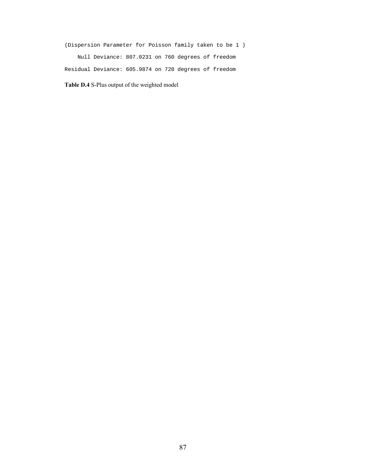(Dispersion Parameter for Poisson family taken to be 1 ) Null Deviance: 807.0231 on 760 degrees of freedom Residual Deviance: 605.9874 on 720 degrees of freedom

**Table D.4** S-Plus output of the weighted model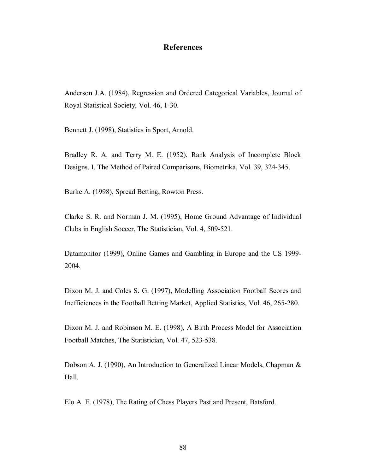### **References**

Anderson J.A. (1984), Regression and Ordered Categorical Variables, Journal of Royal Statistical Society, Vol. 46, 1-30.

Bennett J. (1998), Statistics in Sport, Arnold.

Bradley R. A. and Terry M. E. (1952), Rank Analysis of Incomplete Block Designs. I. The Method of Paired Comparisons, Biometrika, Vol. 39, 324-345.

Burke A. (1998), Spread Betting, Rowton Press.

Clarke S. R. and Norman J. M. (1995), Home Ground Advantage of Individual Clubs in English Soccer, The Statistician, Vol. 4, 509-521.

Datamonitor (1999), Online Games and Gambling in Europe and the US 1999- 2004.

Dixon M. J. and Coles S. G. (1997), Modelling Association Football Scores and Inefficiences in the Football Betting Market, Applied Statistics, Vol. 46, 265-280.

Dixon M. J. and Robinson M. E. (1998), A Birth Process Model for Association Football Matches, The Statistician, Vol. 47, 523-538.

Dobson A. J. (1990), An Introduction to Generalized Linear Models, Chapman & Hall.

Elo A. E. (1978), The Rating of Chess Players Past and Present, Batsford.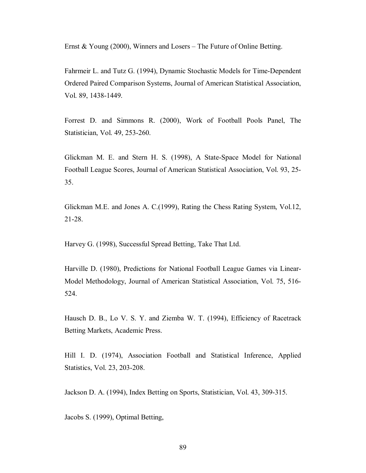Ernst & Young (2000), Winners and Losers – The Future of Online Betting.

Fahrmeir L. and Tutz G. (1994), Dynamic Stochastic Models for Time-Dependent Ordered Paired Comparison Systems, Journal of American Statistical Association, Vol. 89, 1438-1449.

Forrest D. and Simmons R. (2000), Work of Football Pools Panel, The Statistician, Vol. 49, 253-260.

Glickman M. E. and Stern H. S. (1998), A State-Space Model for National Football League Scores, Journal of American Statistical Association, Vol. 93, 25- 35.

Glickman M.E. and Jones A. C.(1999), Rating the Chess Rating System, Vol.12, 21-28.

Harvey G. (1998), Successful Spread Betting, Take That Ltd.

Harville D. (1980), Predictions for National Football League Games via Linear-Model Methodology, Journal of American Statistical Association, Vol. 75, 516- 524.

Hausch D. B., Lo V. S. Y. and Ziemba W. T. (1994), Efficiency of Racetrack Betting Markets, Academic Press.

Hill I. D. (1974), Association Football and Statistical Inference, Applied Statistics, Vol. 23, 203-208.

Jackson D. A. (1994), Index Betting on Sports, Statistician, Vol. 43, 309-315.

Jacobs S. (1999), Optimal Betting,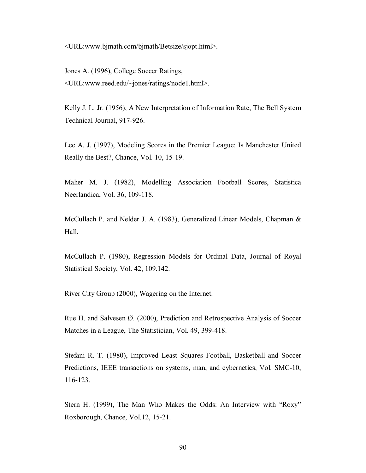<URL:www.bjmath.com/bjmath/Betsize/sjopt.html>.

Jones A. (1996), College Soccer Ratings, <URL:www.reed.edu/~jones/ratings/node1.html>.

Kelly J. L. Jr. (1956), A New Interpretation of Information Rate, The Bell System Technical Journal, 917-926.

Lee A. J. (1997), Modeling Scores in the Premier League: Is Manchester United Really the Best?, Chance, Vol. 10, 15-19.

Maher M. J. (1982), Modelling Association Football Scores, Statistica Neerlandica, Vol. 36, 109-118.

McCullach P. and Nelder J. A. (1983), Generalized Linear Models, Chapman & Hall.

McCullach P. (1980), Regression Models for Ordinal Data, Journal of Royal Statistical Society, Vol. 42, 109.142.

River City Group (2000), Wagering on the Internet.

Rue H. and Salvesen Ø. (2000), Prediction and Retrospective Analysis of Soccer Matches in a League, The Statistician, Vol. 49, 399-418.

Stefani R. T. (1980), Improved Least Squares Football, Basketball and Soccer Predictions, IEEE transactions on systems, man, and cybernetics, Vol. SMC-10, 116-123.

Stern H. (1999), The Man Who Makes the Odds: An Interview with "Roxy" Roxborough, Chance, Vol.12, 15-21.